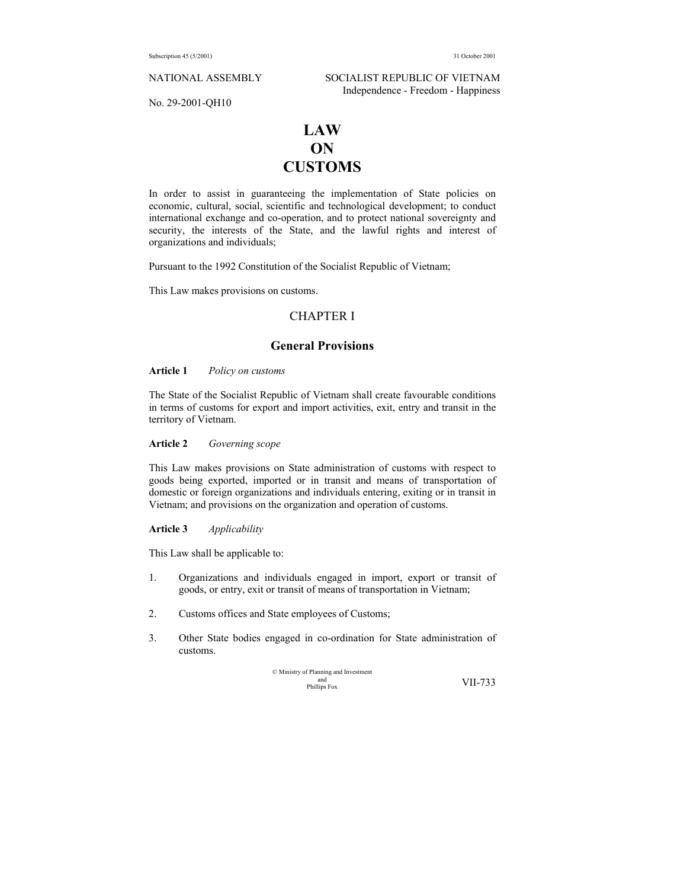NATIONAL ASSEMBLY SOCIALIST REPUBLIC OF VIETNAM Independence - Freedom - Happiness

No. 29-2001-QH10

# **LAW ON CUSTOMS**

In order to assist in guaranteeing the implementation of State policies on economic, cultural, social, scientific and technological development; to conduct international exchange and co-operation, and to protect national sovereignty and security, the interests of the State, and the lawful rights and interest of organizations and individuals;

Pursuant to the 1992 Constitution of the Socialist Republic of Vietnam;

This Law makes provisions on customs.

## CHAPTER I

## **General Provisions**

## **Article 1** *Policy on customs*

The State of the Socialist Republic of Vietnam shall create favourable conditions in terms of customs for export and import activities, exit, entry and transit in the territory of Vietnam.

**Article 2** *Governing scope* 

This Law makes provisions on State administration of customs with respect to goods being exported, imported or in transit and means of transportation of domestic or foreign organizations and individuals entering, exiting or in transit in Vietnam; and provisions on the organization and operation of customs.

**Article 3** *Applicability*

This Law shall be applicable to:

- 1. Organizations and individuals engaged in import, export or transit of goods, or entry, exit or transit of means of transportation in Vietnam;
- 2. Customs offices and State employees of Customs;
- 3. Other State bodies engaged in co-ordination for State administration of customs.

© Ministry of Planning and Investment and Phillips Fox VII-733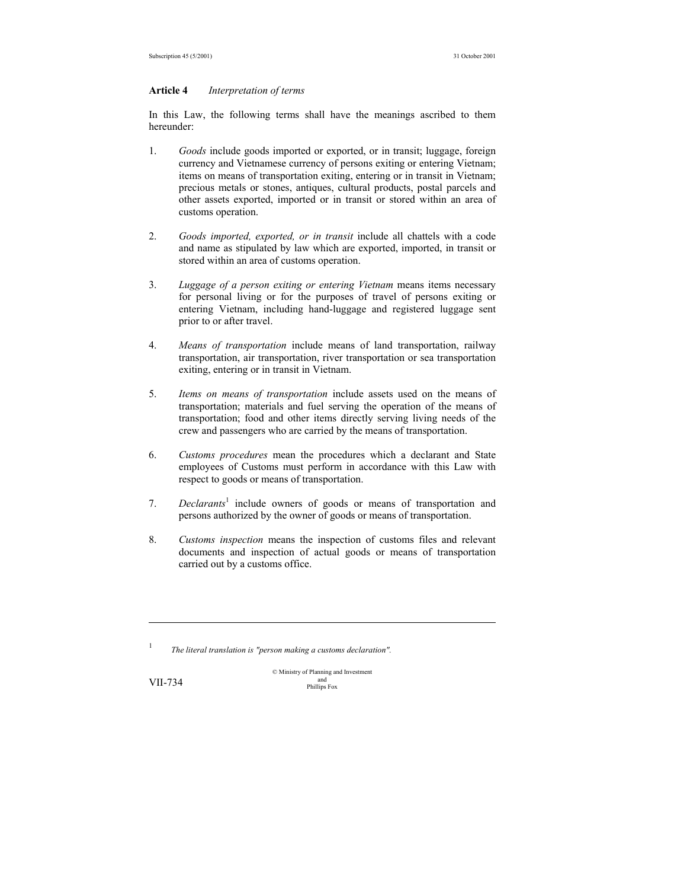#### **Article 4** *Interpretation of terms*

In this Law, the following terms shall have the meanings ascribed to them hereunder:

- 1. *Goods* include goods imported or exported, or in transit; luggage, foreign currency and Vietnamese currency of persons exiting or entering Vietnam; items on means of transportation exiting, entering or in transit in Vietnam; precious metals or stones, antiques, cultural products, postal parcels and other assets exported, imported or in transit or stored within an area of customs operation.
- 2. *Goods imported, exported, or in transit* include all chattels with a code and name as stipulated by law which are exported, imported, in transit or stored within an area of customs operation.
- 3. *Luggage of a person exiting or entering Vietnam* means items necessary for personal living or for the purposes of travel of persons exiting or entering Vietnam, including hand-luggage and registered luggage sent prior to or after travel.
- 4. *Means of transportation* include means of land transportation, railway transportation, air transportation, river transportation or sea transportation exiting, entering or in transit in Vietnam.
- 5. *Items on means of transportation* include assets used on the means of transportation; materials and fuel serving the operation of the means of transportation; food and other items directly serving living needs of the crew and passengers who are carried by the means of transportation.
- 6. *Customs procedures* mean the procedures which a declarant and State employees of Customs must perform in accordance with this Law with respect to goods or means of transportation.
- 7. *Declarants<sup>1</sup>* include owners of goods or means of transportation and persons authorized by the owner of goods or means of transportation.
- 8. *Customs inspection* means the inspection of customs files and relevant documents and inspection of actual goods or means of transportation carried out by a customs office.

1 *The literal translation is "person making a customs declaration".*

-

© Ministry of Planning and Investment and VII-734 Phillips Fox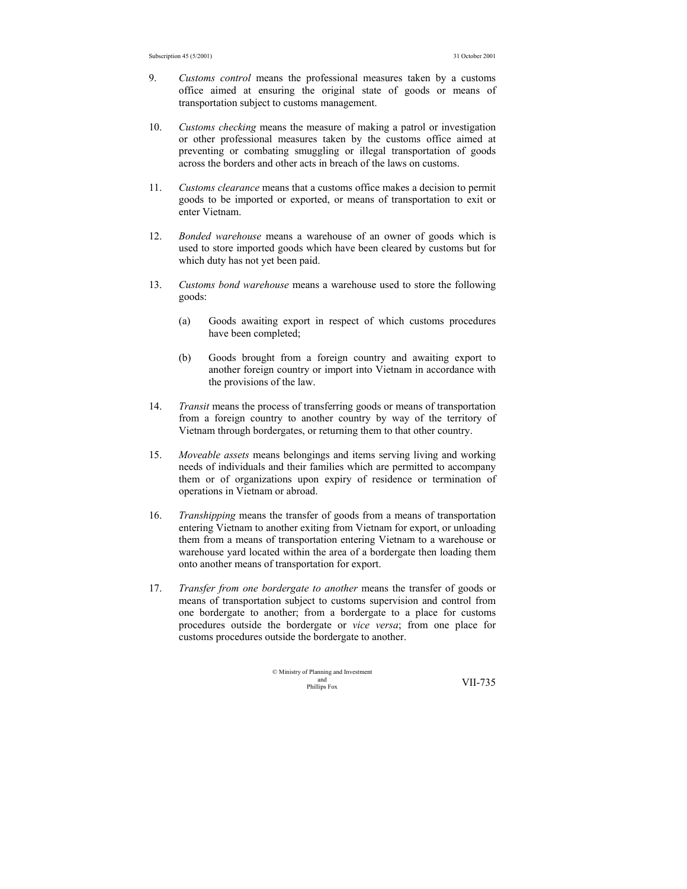- 9. *Customs control* means the professional measures taken by a customs office aimed at ensuring the original state of goods or means of transportation subject to customs management.
- 10. *Customs checking* means the measure of making a patrol or investigation or other professional measures taken by the customs office aimed at preventing or combating smuggling or illegal transportation of goods across the borders and other acts in breach of the laws on customs.
- 11. *Customs clearance* means that a customs office makes a decision to permit goods to be imported or exported, or means of transportation to exit or enter Vietnam.
- 12. *Bonded warehouse* means a warehouse of an owner of goods which is used to store imported goods which have been cleared by customs but for which duty has not yet been paid.
- 13. *Customs bond warehouse* means a warehouse used to store the following goods:
	- (a) Goods awaiting export in respect of which customs procedures have been completed;
	- (b) Goods brought from a foreign country and awaiting export to another foreign country or import into Vietnam in accordance with the provisions of the law.
- 14. *Transit* means the process of transferring goods or means of transportation from a foreign country to another country by way of the territory of Vietnam through bordergates, or returning them to that other country.
- 15. *Moveable assets* means belongings and items serving living and working needs of individuals and their families which are permitted to accompany them or of organizations upon expiry of residence or termination of operations in Vietnam or abroad.
- 16. *Transhipping* means the transfer of goods from a means of transportation entering Vietnam to another exiting from Vietnam for export, or unloading them from a means of transportation entering Vietnam to a warehouse or warehouse yard located within the area of a bordergate then loading them onto another means of transportation for export.
- 17. *Transfer from one bordergate to another* means the transfer of goods or means of transportation subject to customs supervision and control from one bordergate to another; from a bordergate to a place for customs procedures outside the bordergate or *vice versa*; from one place for customs procedures outside the bordergate to another.

$$
\begin{array}{ll}\n\textcirc{\textit{Ministry of Planning and Investment}} \\
\text{and}\n\text{matrix Fox}\n\end{array}\n\quad \text{VII-735}
$$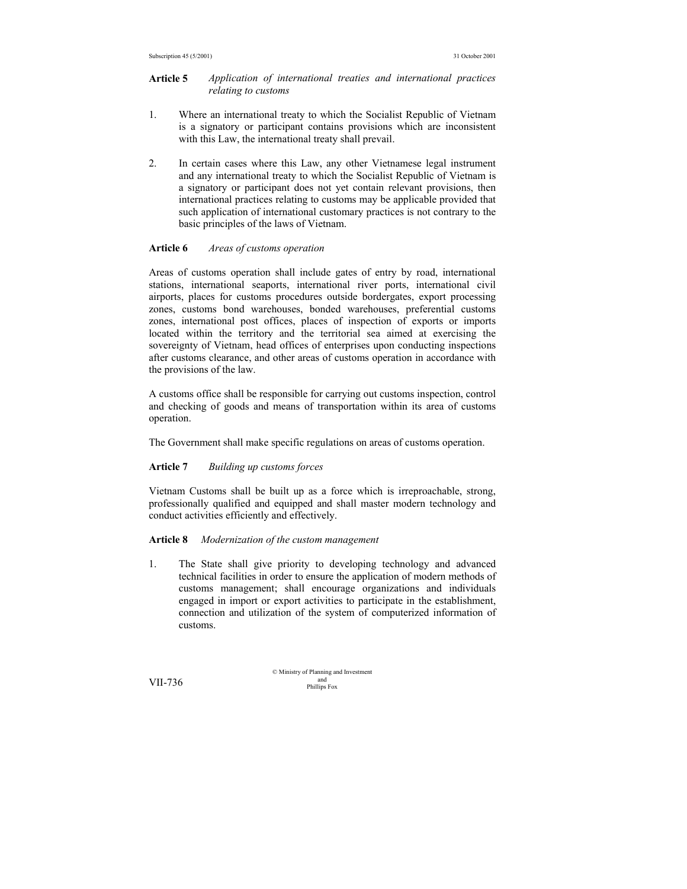#### **Article 5** *Application of international treaties and international practices relating to customs*

- 1. Where an international treaty to which the Socialist Republic of Vietnam is a signatory or participant contains provisions which are inconsistent with this Law, the international treaty shall prevail.
- 2. In certain cases where this Law, any other Vietnamese legal instrument and any international treaty to which the Socialist Republic of Vietnam is a signatory or participant does not yet contain relevant provisions, then international practices relating to customs may be applicable provided that such application of international customary practices is not contrary to the basic principles of the laws of Vietnam.

#### **Article 6** *Areas of customs operation*

Areas of customs operation shall include gates of entry by road, international stations, international seaports, international river ports, international civil airports, places for customs procedures outside bordergates, export processing zones, customs bond warehouses, bonded warehouses, preferential customs zones, international post offices, places of inspection of exports or imports located within the territory and the territorial sea aimed at exercising the sovereignty of Vietnam, head offices of enterprises upon conducting inspections after customs clearance, and other areas of customs operation in accordance with the provisions of the law.

A customs office shall be responsible for carrying out customs inspection, control and checking of goods and means of transportation within its area of customs operation.

The Government shall make specific regulations on areas of customs operation.

#### **Article 7** *Building up customs forces*

Vietnam Customs shall be built up as a force which is irreproachable, strong, professionally qualified and equipped and shall master modern technology and conduct activities efficiently and effectively.

#### **Article 8** *Modernization of the custom management*

1. The State shall give priority to developing technology and advanced technical facilities in order to ensure the application of modern methods of customs management; shall encourage organizations and individuals engaged in import or export activities to participate in the establishment, connection and utilization of the system of computerized information of customs.

© Ministry of Planning and Investment  $VII-736$  and  $VII-736$  Phillips Fox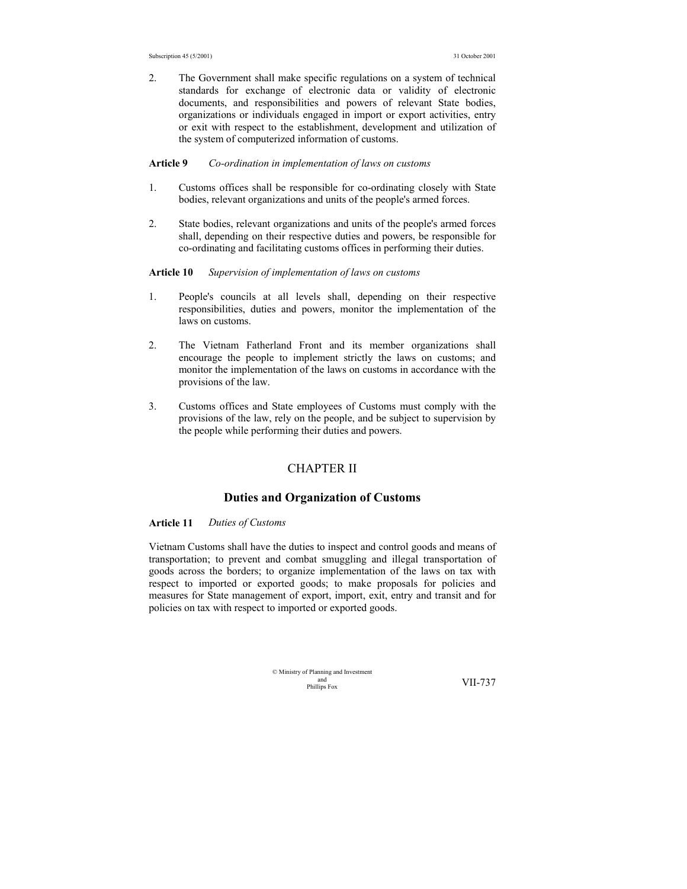2. The Government shall make specific regulations on a system of technical standards for exchange of electronic data or validity of electronic documents, and responsibilities and powers of relevant State bodies, organizations or individuals engaged in import or export activities, entry or exit with respect to the establishment, development and utilization of the system of computerized information of customs.

#### **Article 9** *Co-ordination in implementation of laws on customs*

- 1. Customs offices shall be responsible for co-ordinating closely with State bodies, relevant organizations and units of the people's armed forces.
- 2. State bodies, relevant organizations and units of the people's armed forces shall, depending on their respective duties and powers, be responsible for co-ordinating and facilitating customs offices in performing their duties.

#### **Article 10** *Supervision of implementation of laws on customs*

- 1. People's councils at all levels shall, depending on their respective responsibilities, duties and powers, monitor the implementation of the laws on customs.
- 2. The Vietnam Fatherland Front and its member organizations shall encourage the people to implement strictly the laws on customs; and monitor the implementation of the laws on customs in accordance with the provisions of the law.
- 3. Customs offices and State employees of Customs must comply with the provisions of the law, rely on the people, and be subject to supervision by the people while performing their duties and powers.

## CHAPTER II

## **Duties and Organization of Customs**

#### **Article 11** *Duties of Customs*

Vietnam Customs shall have the duties to inspect and control goods and means of transportation; to prevent and combat smuggling and illegal transportation of goods across the borders; to organize implementation of the laws on tax with respect to imported or exported goods; to make proposals for policies and measures for State management of export, import, exit, entry and transit and for policies on tax with respect to imported or exported goods.

| © Ministry of Planning and Investment |  |
|---------------------------------------|--|
| and                                   |  |
| Phillips Fox                          |  |

VII-737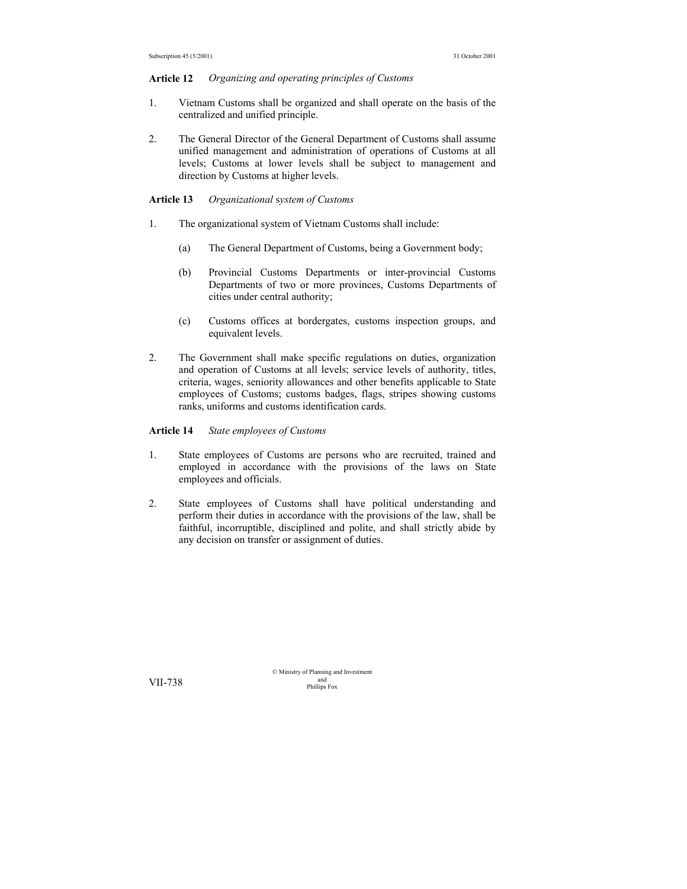#### **Article 12** *Organizing and operating principles of Customs*

- 1. Vietnam Customs shall be organized and shall operate on the basis of the centralized and unified principle.
- 2. The General Director of the General Department of Customs shall assume unified management and administration of operations of Customs at all levels; Customs at lower levels shall be subject to management and direction by Customs at higher levels.

## **Article 13** *Organizational* s*ystem of Customs*

- 1. The organizational system of Vietnam Customs shall include:
	- (a) The General Department of Customs, being a Government body;
	- (b) Provincial Customs Departments or inter-provincial Customs Departments of two or more provinces, Customs Departments of cities under central authority;
	- (c) Customs offices at bordergates, customs inspection groups, and equivalent levels.
- 2. The Government shall make specific regulations on duties, organization and operation of Customs at all levels; service levels of authority, titles, criteria, wages, seniority allowances and other benefits applicable to State employees of Customs; customs badges, flags, stripes showing customs ranks, uniforms and customs identification cards.

**Article 14** *State employees of Customs*

- 1. State employees of Customs are persons who are recruited, trained and employed in accordance with the provisions of the laws on State employees and officials.
- 2. State employees of Customs shall have political understanding and perform their duties in accordance with the provisions of the law, shall be faithful, incorruptible, disciplined and polite, and shall strictly abide by any decision on transfer or assignment of duties.

© Ministry of Planning and Investment and VII-738 Phillips Fox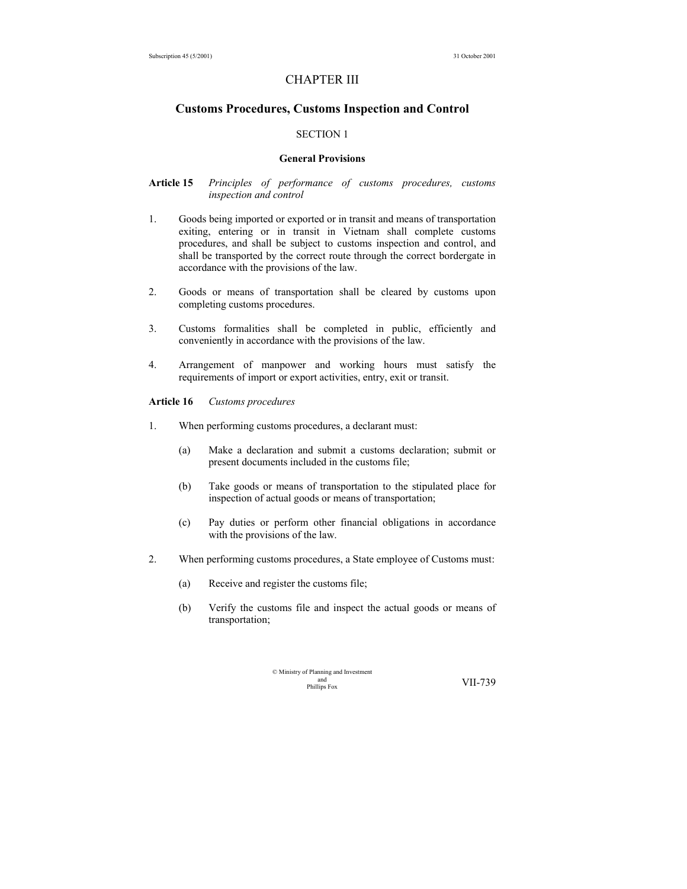## CHAPTER III

## **Customs Procedures, Customs Inspection and Control**

## SECTION 1

#### **General Provisions**

## **Article 15** *Principles of performance of customs procedures, customs inspection and control*

- 1. Goods being imported or exported or in transit and means of transportation exiting, entering or in transit in Vietnam shall complete customs procedures, and shall be subject to customs inspection and control, and shall be transported by the correct route through the correct bordergate in accordance with the provisions of the law.
- 2. Goods or means of transportation shall be cleared by customs upon completing customs procedures.
- 3. Customs formalities shall be completed in public, efficiently and conveniently in accordance with the provisions of the law.
- 4. Arrangement of manpower and working hours must satisfy the requirements of import or export activities, entry, exit or transit.

#### **Article 16** *Customs procedures*

- 1. When performing customs procedures, a declarant must:
	- (a) Make a declaration and submit a customs declaration; submit or present documents included in the customs file;
	- (b) Take goods or means of transportation to the stipulated place for inspection of actual goods or means of transportation;
	- (c) Pay duties or perform other financial obligations in accordance with the provisions of the law.
- 2. When performing customs procedures, a State employee of Customs must:
	- (a) Receive and register the customs file;
	- (b) Verify the customs file and inspect the actual goods or means of transportation;

| © Ministry of Planning and Investment |         |
|---------------------------------------|---------|
| and                                   | VII-739 |
| Phillips Fox                          |         |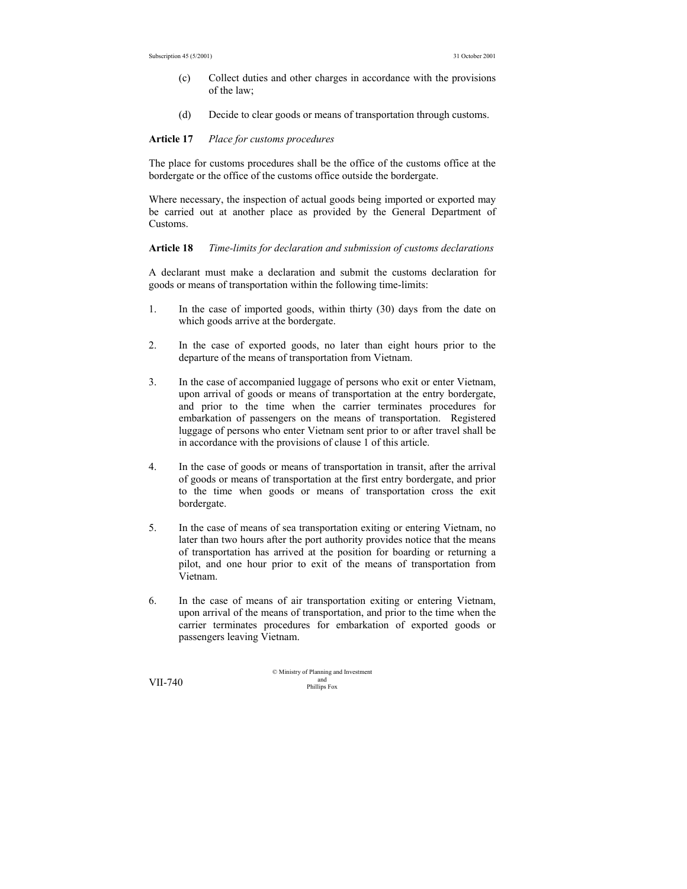- (c) Collect duties and other charges in accordance with the provisions of the law;
- (d) Decide to clear goods or means of transportation through customs.

#### **Article 17** *Place for customs procedures*

The place for customs procedures shall be the office of the customs office at the bordergate or the office of the customs office outside the bordergate.

Where necessary, the inspection of actual goods being imported or exported may be carried out at another place as provided by the General Department of Customs.

**Article 18** *Time-limits for declaration and submission of customs declarations*

A declarant must make a declaration and submit the customs declaration for goods or means of transportation within the following time-limits:

- 1. In the case of imported goods, within thirty (30) days from the date on which goods arrive at the bordergate.
- 2. In the case of exported goods, no later than eight hours prior to the departure of the means of transportation from Vietnam.
- 3. In the case of accompanied luggage of persons who exit or enter Vietnam, upon arrival of goods or means of transportation at the entry bordergate, and prior to the time when the carrier terminates procedures for embarkation of passengers on the means of transportation. Registered luggage of persons who enter Vietnam sent prior to or after travel shall be in accordance with the provisions of clause 1 of this article.
- 4. In the case of goods or means of transportation in transit, after the arrival of goods or means of transportation at the first entry bordergate, and prior to the time when goods or means of transportation cross the exit bordergate.
- 5. In the case of means of sea transportation exiting or entering Vietnam, no later than two hours after the port authority provides notice that the means of transportation has arrived at the position for boarding or returning a pilot, and one hour prior to exit of the means of transportation from Vietnam.
- 6. In the case of means of air transportation exiting or entering Vietnam, upon arrival of the means of transportation, and prior to the time when the carrier terminates procedures for embarkation of exported goods or passengers leaving Vietnam.

© Ministry of Planning and Investment and VII-740 Phillips Fox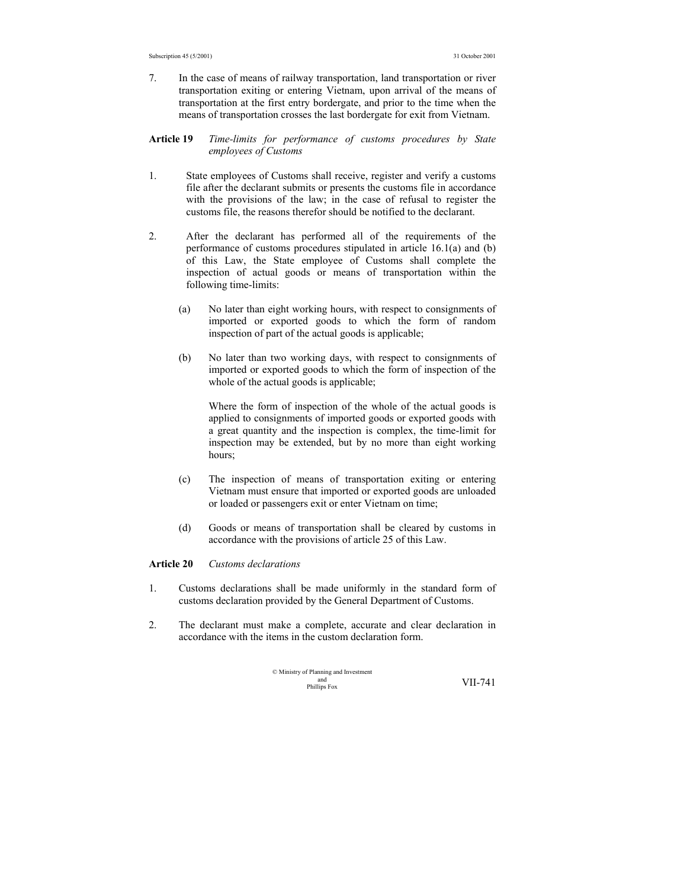- 7. In the case of means of railway transportation, land transportation or river transportation exiting or entering Vietnam, upon arrival of the means of transportation at the first entry bordergate, and prior to the time when the means of transportation crosses the last bordergate for exit from Vietnam.
- **Article 19** *Time-limits for performance of customs procedures by State employees of Customs*
- 1. State employees of Customs shall receive, register and verify a customs file after the declarant submits or presents the customs file in accordance with the provisions of the law; in the case of refusal to register the customs file, the reasons therefor should be notified to the declarant.
- 2. After the declarant has performed all of the requirements of the performance of customs procedures stipulated in article 16.1(a) and (b) of this Law, the State employee of Customs shall complete the inspection of actual goods or means of transportation within the following time-limits:
	- (a) No later than eight working hours, with respect to consignments of imported or exported goods to which the form of random inspection of part of the actual goods is applicable;
	- (b) No later than two working days, with respect to consignments of imported or exported goods to which the form of inspection of the whole of the actual goods is applicable;

 Where the form of inspection of the whole of the actual goods is applied to consignments of imported goods or exported goods with a great quantity and the inspection is complex, the time-limit for inspection may be extended, but by no more than eight working hours;

- (c) The inspection of means of transportation exiting or entering Vietnam must ensure that imported or exported goods are unloaded or loaded or passengers exit or enter Vietnam on time;
- (d) Goods or means of transportation shall be cleared by customs in accordance with the provisions of article 25 of this Law.

#### **Article 20** *Customs declarations*

- 1. Customs declarations shall be made uniformly in the standard form of customs declaration provided by the General Department of Customs.
- 2. The declarant must make a complete, accurate and clear declaration in accordance with the items in the custom declaration form.

© Ministry of Planning and Investment and Phillips Fox VII-741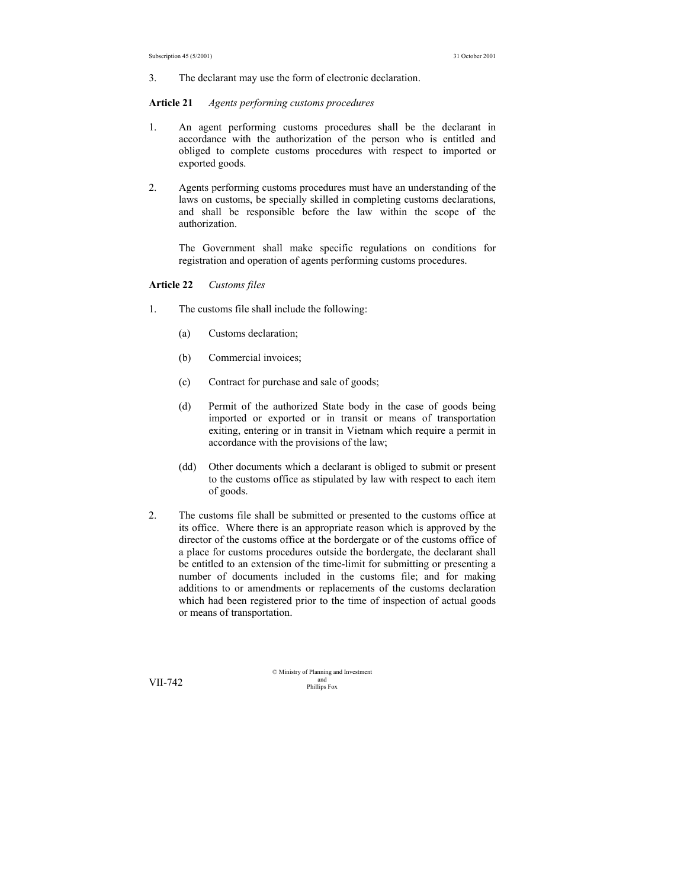3. The declarant may use the form of electronic declaration.

#### **Article 21** *Agents performing customs procedures*

- 1. An agent performing customs procedures shall be the declarant in accordance with the authorization of the person who is entitled and obliged to complete customs procedures with respect to imported or exported goods.
- 2. Agents performing customs procedures must have an understanding of the laws on customs, be specially skilled in completing customs declarations, and shall be responsible before the law within the scope of the authorization.

 The Government shall make specific regulations on conditions for registration and operation of agents performing customs procedures.

#### **Article 22** *Customs files*

- 1. The customs file shall include the following:
	- (a) Customs declaration;
	- (b) Commercial invoices;
	- (c) Contract for purchase and sale of goods;
	- (d) Permit of the authorized State body in the case of goods being imported or exported or in transit or means of transportation exiting, entering or in transit in Vietnam which require a permit in accordance with the provisions of the law;
	- (dd) Other documents which a declarant is obliged to submit or present to the customs office as stipulated by law with respect to each item of goods.
- 2. The customs file shall be submitted or presented to the customs office at its office. Where there is an appropriate reason which is approved by the director of the customs office at the bordergate or of the customs office of a place for customs procedures outside the bordergate, the declarant shall be entitled to an extension of the time-limit for submitting or presenting a number of documents included in the customs file; and for making additions to or amendments or replacements of the customs declaration which had been registered prior to the time of inspection of actual goods or means of transportation.

© Ministry of Planning and Investment and VII-742 Phillips Fox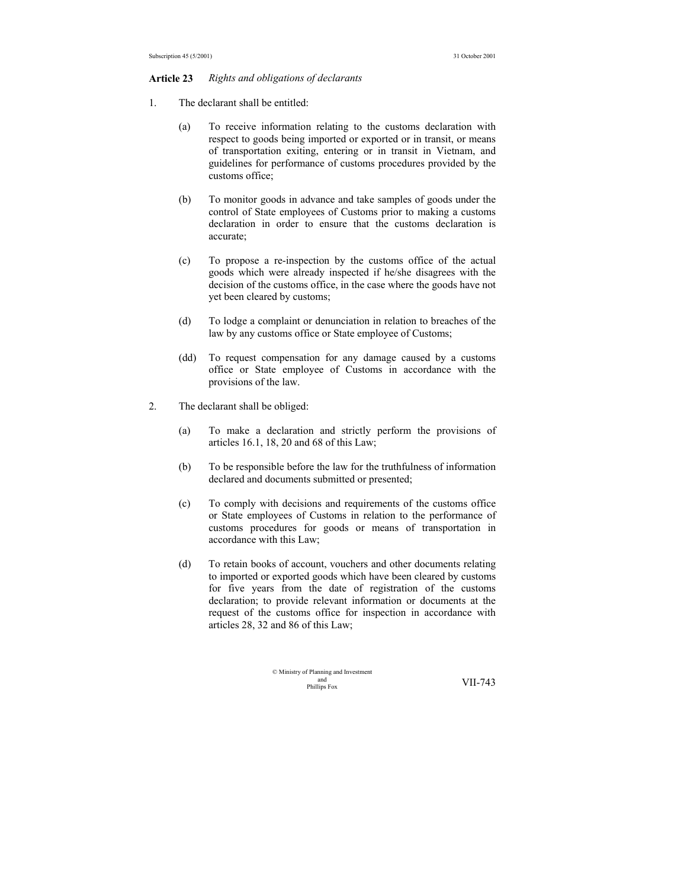#### **Article 23** *Rights and obligations of declarants*

- 1. The declarant shall be entitled:
	- (a) To receive information relating to the customs declaration with respect to goods being imported or exported or in transit, or means of transportation exiting, entering or in transit in Vietnam, and guidelines for performance of customs procedures provided by the customs office;
	- (b) To monitor goods in advance and take samples of goods under the control of State employees of Customs prior to making a customs declaration in order to ensure that the customs declaration is accurate;
	- (c) To propose a re-inspection by the customs office of the actual goods which were already inspected if he/she disagrees with the decision of the customs office, in the case where the goods have not yet been cleared by customs;
	- (d) To lodge a complaint or denunciation in relation to breaches of the law by any customs office or State employee of Customs;
	- (dd) To request compensation for any damage caused by a customs office or State employee of Customs in accordance with the provisions of the law.
- 2. The declarant shall be obliged:
	- (a) To make a declaration and strictly perform the provisions of articles 16.1, 18, 20 and 68 of this Law;
	- (b) To be responsible before the law for the truthfulness of information declared and documents submitted or presented;
	- (c) To comply with decisions and requirements of the customs office or State employees of Customs in relation to the performance of customs procedures for goods or means of transportation in accordance with this Law;
	- (d) To retain books of account, vouchers and other documents relating to imported or exported goods which have been cleared by customs for five years from the date of registration of the customs declaration; to provide relevant information or documents at the request of the customs office for inspection in accordance with articles 28, 32 and 86 of this Law;

| © Ministry of Planning and Investment |         |
|---------------------------------------|---------|
| and                                   | VII-743 |
| Phillips Fox                          |         |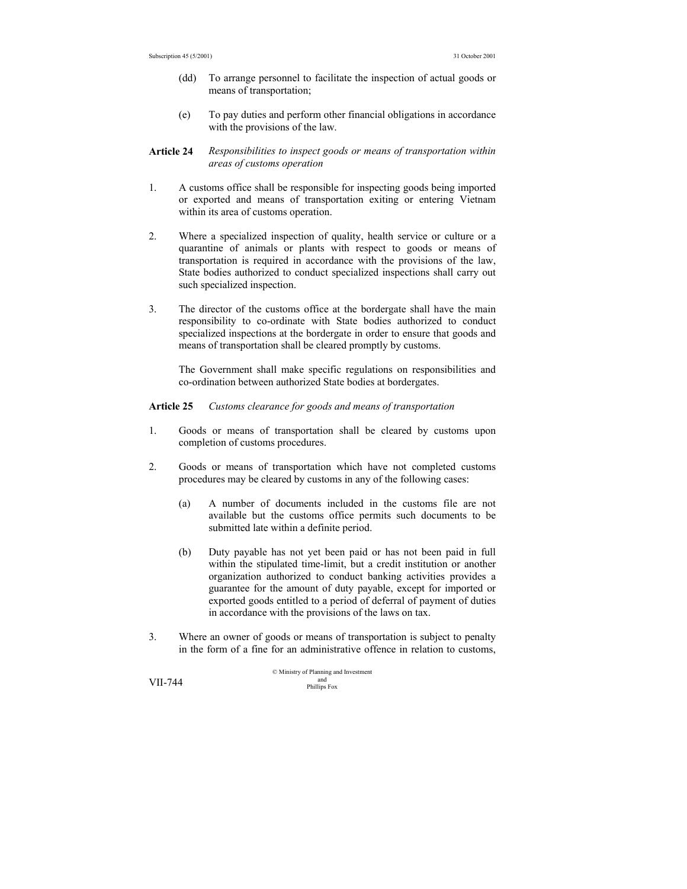- (dd) To arrange personnel to facilitate the inspection of actual goods or means of transportation;
- (e) To pay duties and perform other financial obligations in accordance with the provisions of the law.

#### **Article 24** *Responsibilities to inspect goods or means of transportation within areas of customs operation*

- 1. A customs office shall be responsible for inspecting goods being imported or exported and means of transportation exiting or entering Vietnam within its area of customs operation.
- 2. Where a specialized inspection of quality, health service or culture or a quarantine of animals or plants with respect to goods or means of transportation is required in accordance with the provisions of the law, State bodies authorized to conduct specialized inspections shall carry out such specialized inspection.
- 3. The director of the customs office at the bordergate shall have the main responsibility to co-ordinate with State bodies authorized to conduct specialized inspections at the bordergate in order to ensure that goods and means of transportation shall be cleared promptly by customs.

 The Government shall make specific regulations on responsibilities and co-ordination between authorized State bodies at bordergates.

### **Article 25** *Customs clearance for goods and means of transportation*

- 1. Goods or means of transportation shall be cleared by customs upon completion of customs procedures.
- 2. Goods or means of transportation which have not completed customs procedures may be cleared by customs in any of the following cases:
	- (a) A number of documents included in the customs file are not available but the customs office permits such documents to be submitted late within a definite period.
	- (b) Duty payable has not yet been paid or has not been paid in full within the stipulated time-limit, but a credit institution or another organization authorized to conduct banking activities provides a guarantee for the amount of duty payable, except for imported or exported goods entitled to a period of deferral of payment of duties in accordance with the provisions of the laws on tax.
- 3. Where an owner of goods or means of transportation is subject to penalty in the form of a fine for an administrative offence in relation to customs,

© Ministry of Planning and Investment and VII-744 Phillips Fox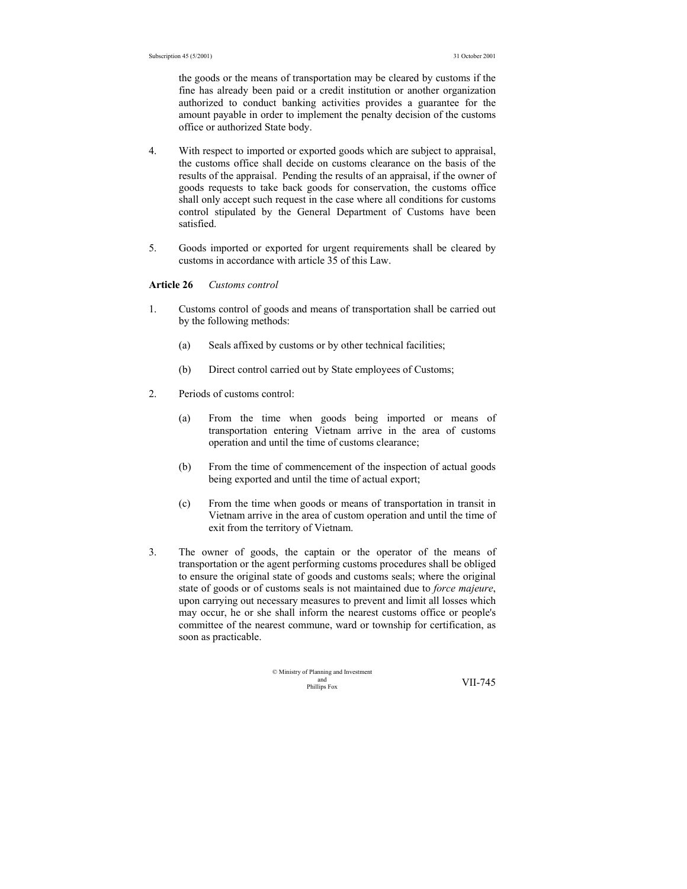the goods or the means of transportation may be cleared by customs if the fine has already been paid or a credit institution or another organization authorized to conduct banking activities provides a guarantee for the amount payable in order to implement the penalty decision of the customs office or authorized State body.

- 4. With respect to imported or exported goods which are subject to appraisal, the customs office shall decide on customs clearance on the basis of the results of the appraisal. Pending the results of an appraisal, if the owner of goods requests to take back goods for conservation, the customs office shall only accept such request in the case where all conditions for customs control stipulated by the General Department of Customs have been satisfied.
- 5. Goods imported or exported for urgent requirements shall be cleared by customs in accordance with article 35 of this Law.

#### **Article 26** *Customs control*

- 1. Customs control of goods and means of transportation shall be carried out by the following methods:
	- (a) Seals affixed by customs or by other technical facilities;
	- (b) Direct control carried out by State employees of Customs;
- 2. Periods of customs control:
	- (a) From the time when goods being imported or means of transportation entering Vietnam arrive in the area of customs operation and until the time of customs clearance;
	- (b) From the time of commencement of the inspection of actual goods being exported and until the time of actual export;
	- (c) From the time when goods or means of transportation in transit in Vietnam arrive in the area of custom operation and until the time of exit from the territory of Vietnam.
- 3. The owner of goods, the captain or the operator of the means of transportation or the agent performing customs procedures shall be obliged to ensure the original state of goods and customs seals; where the original state of goods or of customs seals is not maintained due to *force majeure*, upon carrying out necessary measures to prevent and limit all losses which may occur, he or she shall inform the nearest customs office or people's committee of the nearest commune, ward or township for certification, as soon as practicable.

$$
\circledcirc
$$
   
Ministry of Planning and Investment  
philips Fox  
  $VII-745$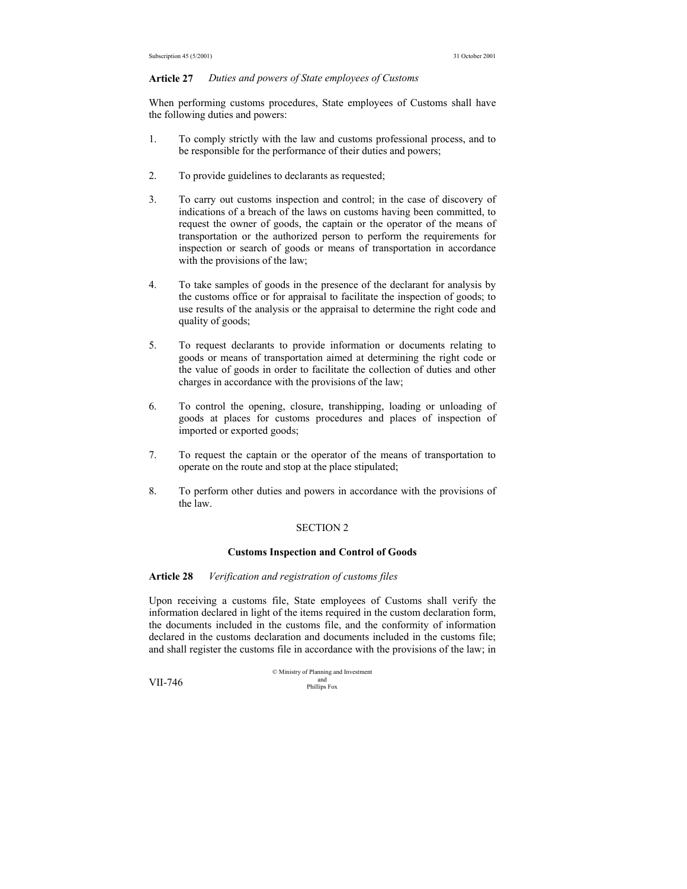#### **Article 27** *Duties and powers of State employees of Customs*

When performing customs procedures, State employees of Customs shall have the following duties and powers:

- 1. To comply strictly with the law and customs professional process, and to be responsible for the performance of their duties and powers;
- 2. To provide guidelines to declarants as requested;
- 3. To carry out customs inspection and control; in the case of discovery of indications of a breach of the laws on customs having been committed, to request the owner of goods, the captain or the operator of the means of transportation or the authorized person to perform the requirements for inspection or search of goods or means of transportation in accordance with the provisions of the law;
- 4. To take samples of goods in the presence of the declarant for analysis by the customs office or for appraisal to facilitate the inspection of goods; to use results of the analysis or the appraisal to determine the right code and quality of goods;
- 5. To request declarants to provide information or documents relating to goods or means of transportation aimed at determining the right code or the value of goods in order to facilitate the collection of duties and other charges in accordance with the provisions of the law;
- 6. To control the opening, closure, transhipping, loading or unloading of goods at places for customs procedures and places of inspection of imported or exported goods;
- 7. To request the captain or the operator of the means of transportation to operate on the route and stop at the place stipulated;
- 8. To perform other duties and powers in accordance with the provisions of the law.

#### SECTION 2

#### **Customs Inspection and Control of Goods**

#### **Article 28** *Verification and registration of customs files*

Upon receiving a customs file, State employees of Customs shall verify the information declared in light of the items required in the custom declaration form, the documents included in the customs file, and the conformity of information declared in the customs declaration and documents included in the customs file; and shall register the customs file in accordance with the provisions of the law; in

© Ministry of Planning and Investment **VII-746** and phillips Fox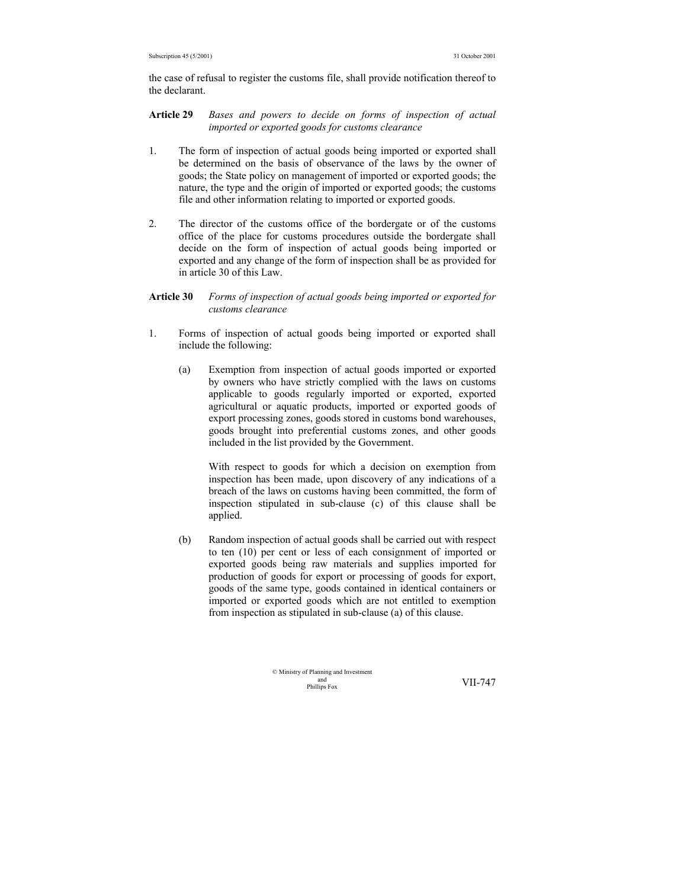the case of refusal to register the customs file, shall provide notification thereof to the declarant.

**Article 29** *Bases and powers to decide on forms of inspection of actual imported or exported goods for customs clearance* 

- 1. The form of inspection of actual goods being imported or exported shall be determined on the basis of observance of the laws by the owner of goods; the State policy on management of imported or exported goods; the nature, the type and the origin of imported or exported goods; the customs file and other information relating to imported or exported goods.
- 2. The director of the customs office of the bordergate or of the customs office of the place for customs procedures outside the bordergate shall decide on the form of inspection of actual goods being imported or exported and any change of the form of inspection shall be as provided for in article 30 of this Law.

#### **Article 30** *Forms of inspection of actual goods being imported or exported for customs clearance*

- 1. Forms of inspection of actual goods being imported or exported shall include the following:
	- (a) Exemption from inspection of actual goods imported or exported by owners who have strictly complied with the laws on customs applicable to goods regularly imported or exported, exported agricultural or aquatic products, imported or exported goods of export processing zones, goods stored in customs bond warehouses, goods brought into preferential customs zones, and other goods included in the list provided by the Government.

 With respect to goods for which a decision on exemption from inspection has been made, upon discovery of any indications of a breach of the laws on customs having been committed, the form of inspection stipulated in sub-clause (c) of this clause shall be applied.

(b) Random inspection of actual goods shall be carried out with respect to ten (10) per cent or less of each consignment of imported or exported goods being raw materials and supplies imported for production of goods for export or processing of goods for export, goods of the same type, goods contained in identical containers or imported or exported goods which are not entitled to exemption from inspection as stipulated in sub-clause (a) of this clause.

> © Ministry of Planning and Investment and<br>Phillins Fox

VII-747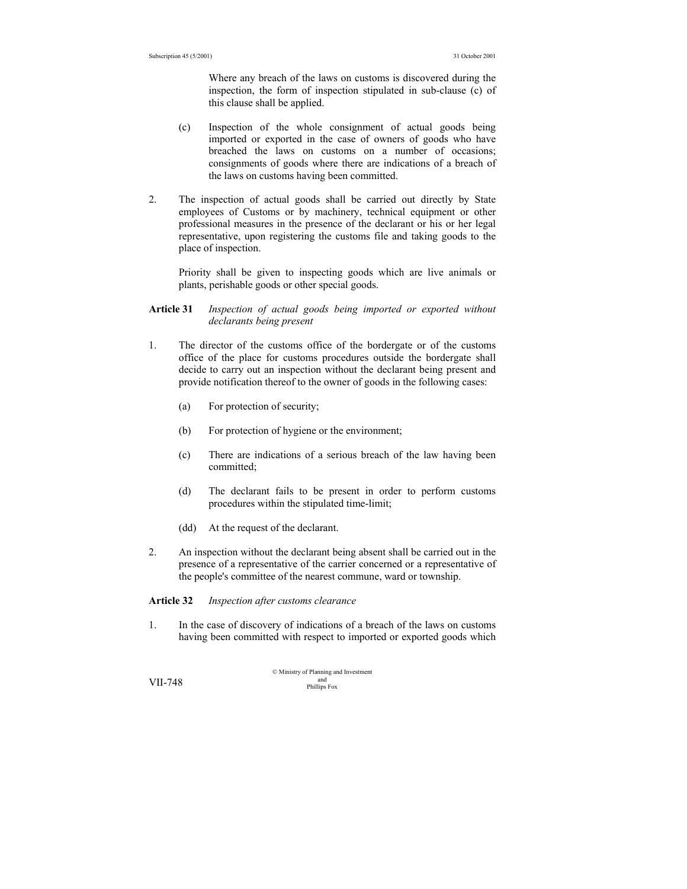Where any breach of the laws on customs is discovered during the inspection, the form of inspection stipulated in sub-clause (c) of this clause shall be applied.

- (c) Inspection of the whole consignment of actual goods being imported or exported in the case of owners of goods who have breached the laws on customs on a number of occasions; consignments of goods where there are indications of a breach of the laws on customs having been committed.
- 2. The inspection of actual goods shall be carried out directly by State employees of Customs or by machinery, technical equipment or other professional measures in the presence of the declarant or his or her legal representative, upon registering the customs file and taking goods to the place of inspection.

 Priority shall be given to inspecting goods which are live animals or plants, perishable goods or other special goods.

### **Article 31** *Inspection of actual goods being imported or exported without declarants being present*

- 1. The director of the customs office of the bordergate or of the customs office of the place for customs procedures outside the bordergate shall decide to carry out an inspection without the declarant being present and provide notification thereof to the owner of goods in the following cases:
	- (a) For protection of security;
	- (b) For protection of hygiene or the environment;
	- (c) There are indications of a serious breach of the law having been committed;
	- (d) The declarant fails to be present in order to perform customs procedures within the stipulated time-limit;
	- (dd) At the request of the declarant.
- 2. An inspection without the declarant being absent shall be carried out in the presence of a representative of the carrier concerned or a representative of the people's committee of the nearest commune, ward or township.

#### **Article 32** *Inspection after customs clearance*

1. In the case of discovery of indications of a breach of the laws on customs having been committed with respect to imported or exported goods which

© Ministry of Planning and Investment and VII-748 Phillips Fox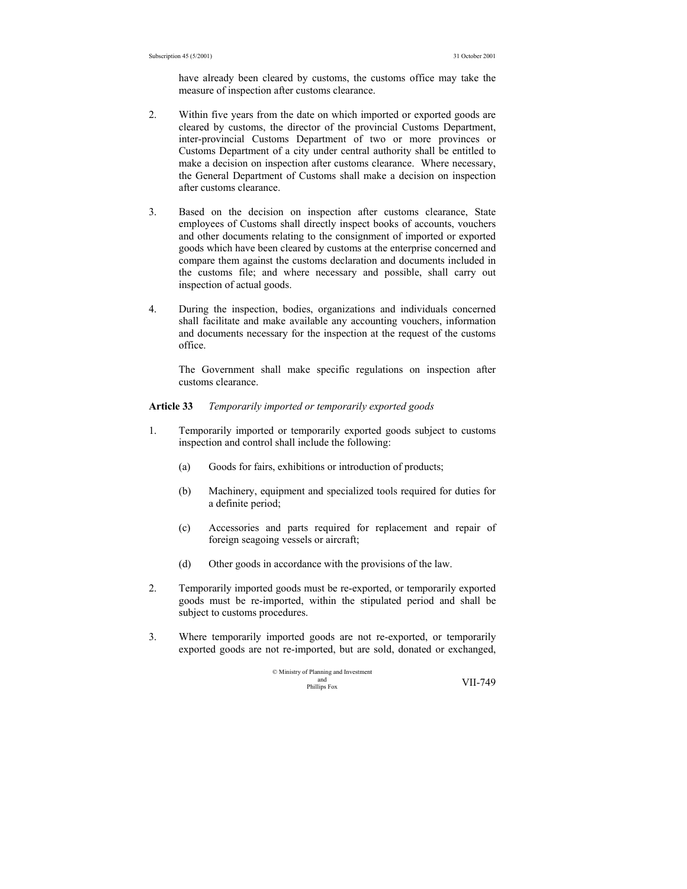have already been cleared by customs, the customs office may take the measure of inspection after customs clearance.

- 2. Within five years from the date on which imported or exported goods are cleared by customs, the director of the provincial Customs Department, inter-provincial Customs Department of two or more provinces or Customs Department of a city under central authority shall be entitled to make a decision on inspection after customs clearance. Where necessary, the General Department of Customs shall make a decision on inspection after customs clearance.
- 3. Based on the decision on inspection after customs clearance, State employees of Customs shall directly inspect books of accounts, vouchers and other documents relating to the consignment of imported or exported goods which have been cleared by customs at the enterprise concerned and compare them against the customs declaration and documents included in the customs file; and where necessary and possible, shall carry out inspection of actual goods.
- 4. During the inspection, bodies, organizations and individuals concerned shall facilitate and make available any accounting vouchers, information and documents necessary for the inspection at the request of the customs office.

 The Government shall make specific regulations on inspection after customs clearance.

### **Article 33** *Temporarily imported or temporarily exported goods*

- 1. Temporarily imported or temporarily exported goods subject to customs inspection and control shall include the following:
	- (a) Goods for fairs, exhibitions or introduction of products;
	- (b) Machinery, equipment and specialized tools required for duties for a definite period;
	- (c) Accessories and parts required for replacement and repair of foreign seagoing vessels or aircraft;
	- (d) Other goods in accordance with the provisions of the law.
- 2. Temporarily imported goods must be re-exported, or temporarily exported goods must be re-imported, within the stipulated period and shall be subject to customs procedures.
- 3. Where temporarily imported goods are not re-exported, or temporarily exported goods are not re-imported, but are sold, donated or exchanged,

© Ministry of Planning and Investment and Phillips Fox VII-749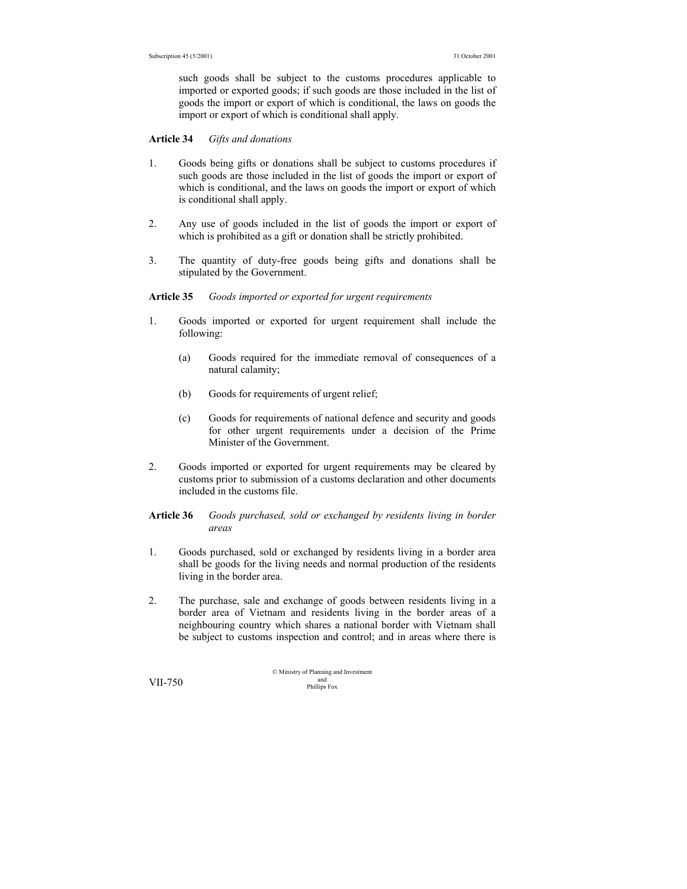such goods shall be subject to the customs procedures applicable to imported or exported goods; if such goods are those included in the list of goods the import or export of which is conditional, the laws on goods the import or export of which is conditional shall apply.

#### **Article 34** *Gifts and donations*

- 1. Goods being gifts or donations shall be subject to customs procedures if such goods are those included in the list of goods the import or export of which is conditional, and the laws on goods the import or export of which is conditional shall apply.
- 2. Any use of goods included in the list of goods the import or export of which is prohibited as a gift or donation shall be strictly prohibited.
- 3. The quantity of duty-free goods being gifts and donations shall be stipulated by the Government.

#### **Article 35** *Goods imported or exported for urgent requirements*

- 1. Goods imported or exported for urgent requirement shall include the following:
	- (a) Goods required for the immediate removal of consequences of a natural calamity;
	- (b) Goods for requirements of urgent relief;
	- (c) Goods for requirements of national defence and security and goods for other urgent requirements under a decision of the Prime Minister of the Government.
- 2. Goods imported or exported for urgent requirements may be cleared by customs prior to submission of a customs declaration and other documents included in the customs file.

## **Article 36** *Goods purchased, sold or exchanged by residents living in border areas*

- 1. Goods purchased, sold or exchanged by residents living in a border area shall be goods for the living needs and normal production of the residents living in the border area.
- 2. The purchase, sale and exchange of goods between residents living in a border area of Vietnam and residents living in the border areas of a neighbouring country which shares a national border with Vietnam shall be subject to customs inspection and control; and in areas where there is

© Ministry of Planning and Investment and VII-750 Phillips Fox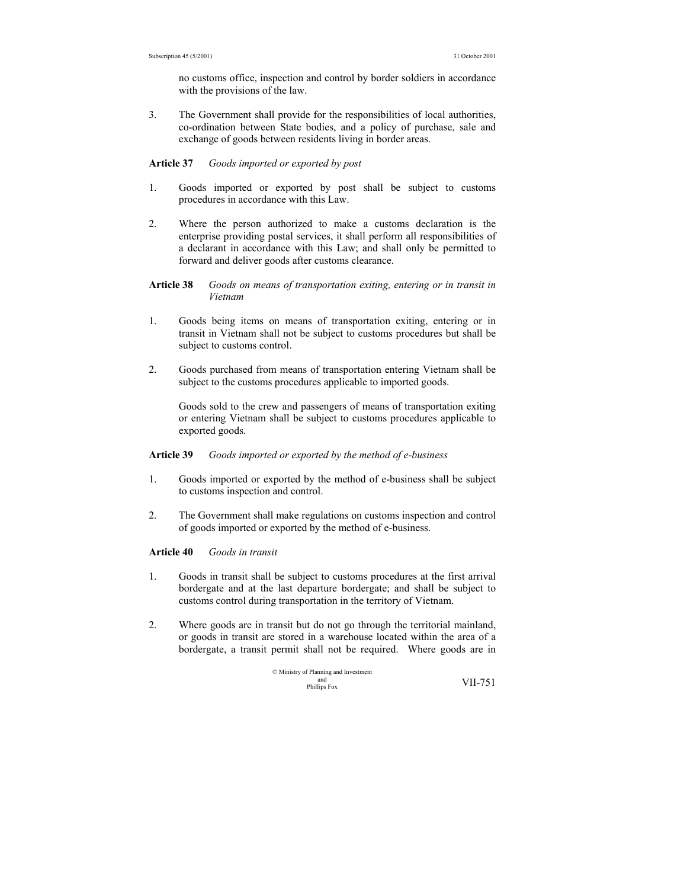no customs office, inspection and control by border soldiers in accordance with the provisions of the law.

3. The Government shall provide for the responsibilities of local authorities, co-ordination between State bodies, and a policy of purchase, sale and exchange of goods between residents living in border areas.

#### **Article 37** *Goods imported or exported by post*

- 1. Goods imported or exported by post shall be subject to customs procedures in accordance with this Law.
- 2. Where the person authorized to make a customs declaration is the enterprise providing postal services, it shall perform all responsibilities of a declarant in accordance with this Law; and shall only be permitted to forward and deliver goods after customs clearance.
- **Article 38** *Goods on means of transportation exiting, entering or in transit in Vietnam*
- 1. Goods being items on means of transportation exiting, entering or in transit in Vietnam shall not be subject to customs procedures but shall be subject to customs control.
- 2. Goods purchased from means of transportation entering Vietnam shall be subject to the customs procedures applicable to imported goods.

 Goods sold to the crew and passengers of means of transportation exiting or entering Vietnam shall be subject to customs procedures applicable to exported goods.

#### **Article 39** *Goods imported or exported by the method of e-business*

- 1. Goods imported or exported by the method of e-business shall be subject to customs inspection and control.
- 2. The Government shall make regulations on customs inspection and control of goods imported or exported by the method of e-business.

#### **Article 40** *Goods in transit*

- 1. Goods in transit shall be subject to customs procedures at the first arrival bordergate and at the last departure bordergate; and shall be subject to customs control during transportation in the territory of Vietnam.
- 2. Where goods are in transit but do not go through the territorial mainland, or goods in transit are stored in a warehouse located within the area of a bordergate, a transit permit shall not be required. Where goods are in

© Ministry of Planning and Investment and Phillips Fox VII-751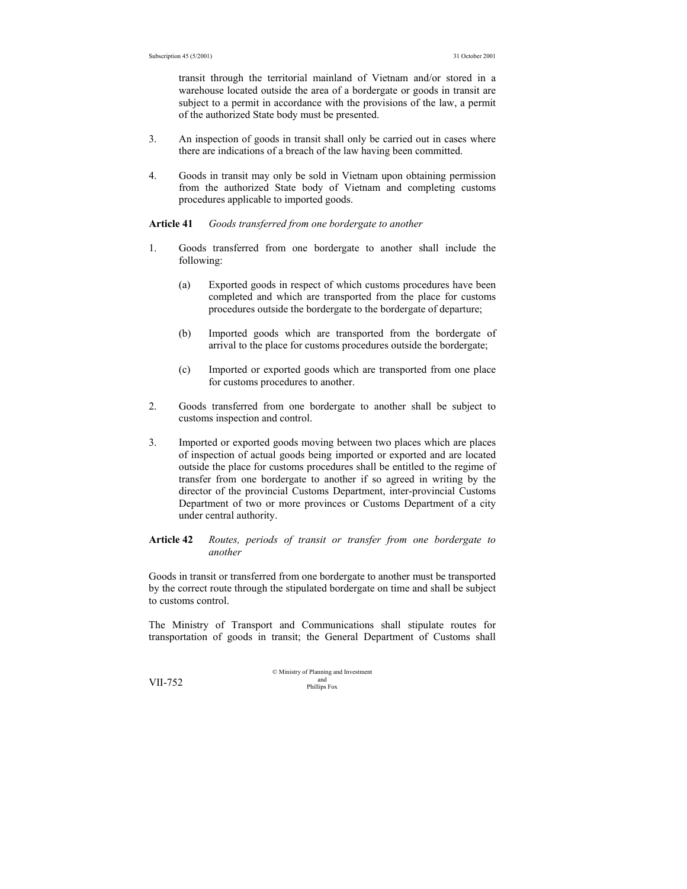transit through the territorial mainland of Vietnam and/or stored in a warehouse located outside the area of a bordergate or goods in transit are subject to a permit in accordance with the provisions of the law, a permit of the authorized State body must be presented.

- 3. An inspection of goods in transit shall only be carried out in cases where there are indications of a breach of the law having been committed.
- 4. Goods in transit may only be sold in Vietnam upon obtaining permission from the authorized State body of Vietnam and completing customs procedures applicable to imported goods.

**Article 41** *Goods transferred from one bordergate to another* 

- 1. Goods transferred from one bordergate to another shall include the following:
	- (a) Exported goods in respect of which customs procedures have been completed and which are transported from the place for customs procedures outside the bordergate to the bordergate of departure;
	- (b) Imported goods which are transported from the bordergate of arrival to the place for customs procedures outside the bordergate;
	- (c) Imported or exported goods which are transported from one place for customs procedures to another.
- 2. Goods transferred from one bordergate to another shall be subject to customs inspection and control.
- 3. Imported or exported goods moving between two places which are places of inspection of actual goods being imported or exported and are located outside the place for customs procedures shall be entitled to the regime of transfer from one bordergate to another if so agreed in writing by the director of the provincial Customs Department, inter-provincial Customs Department of two or more provinces or Customs Department of a city under central authority.

## **Article 42** *Routes, periods of transit or transfer from one bordergate to another*

Goods in transit or transferred from one bordergate to another must be transported by the correct route through the stipulated bordergate on time and shall be subject to customs control.

The Ministry of Transport and Communications shall stipulate routes for transportation of goods in transit; the General Department of Customs shall

© Ministry of Planning and Investment and VII-752 Phillips Fox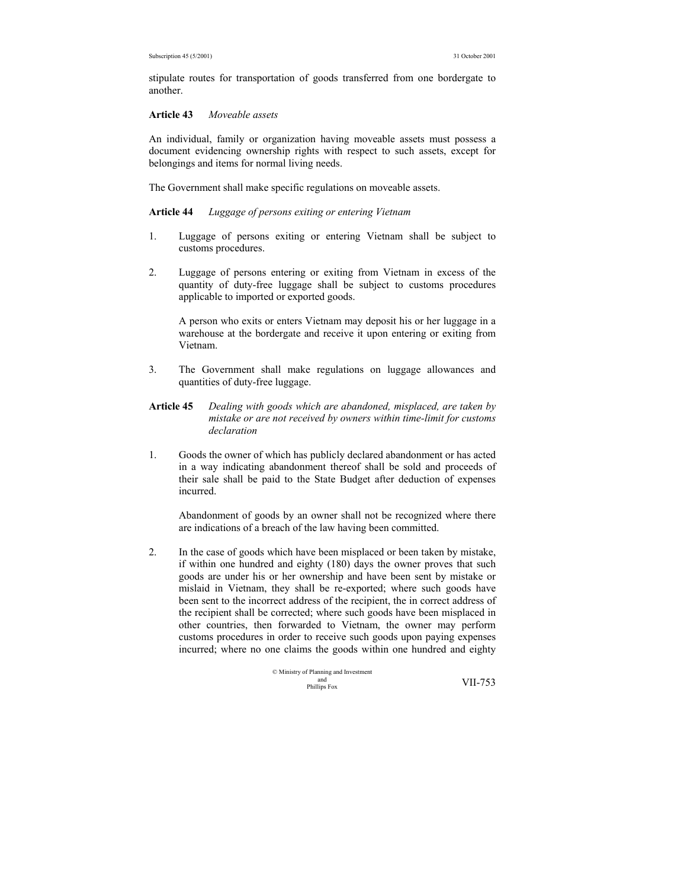stipulate routes for transportation of goods transferred from one bordergate to another.

#### **Article 43** *Moveable assets*

An individual, family or organization having moveable assets must possess a document evidencing ownership rights with respect to such assets, except for belongings and items for normal living needs.

The Government shall make specific regulations on moveable assets.

#### **Article 44** *Luggage of persons exiting or entering Vietnam*

- 1. Luggage of persons exiting or entering Vietnam shall be subject to customs procedures.
- 2. Luggage of persons entering or exiting from Vietnam in excess of the quantity of duty-free luggage shall be subject to customs procedures applicable to imported or exported goods.

 A person who exits or enters Vietnam may deposit his or her luggage in a warehouse at the bordergate and receive it upon entering or exiting from Vietnam.

- 3. The Government shall make regulations on luggage allowances and quantities of duty-free luggage.
- **Article 45** *Dealing with goods which are abandoned, misplaced, are taken by mistake or are not received by owners within time-limit for customs declaration*
- 1. Goods the owner of which has publicly declared abandonment or has acted in a way indicating abandonment thereof shall be sold and proceeds of their sale shall be paid to the State Budget after deduction of expenses incurred.

 Abandonment of goods by an owner shall not be recognized where there are indications of a breach of the law having been committed.

2. In the case of goods which have been misplaced or been taken by mistake, if within one hundred and eighty (180) days the owner proves that such goods are under his or her ownership and have been sent by mistake or mislaid in Vietnam, they shall be re-exported; where such goods have been sent to the incorrect address of the recipient, the in correct address of the recipient shall be corrected; where such goods have been misplaced in other countries, then forwarded to Vietnam, the owner may perform customs procedures in order to receive such goods upon paying expenses incurred; where no one claims the goods within one hundred and eighty

$$
\begin{array}{ll}\n\textcirc\; \text{Ministry of Planning and Investment} \\
\text{and}\; \text{Investment} \\
\text{Philips Fox}\n\end{array}\n\qquad \qquad \text{VII-753}
$$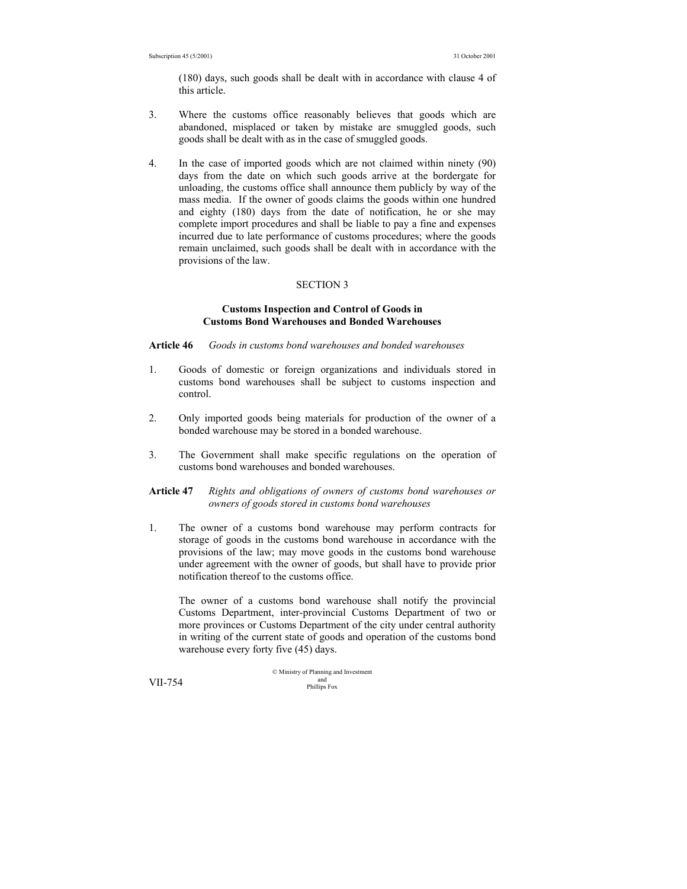(180) days, such goods shall be dealt with in accordance with clause 4 of this article.

- 3. Where the customs office reasonably believes that goods which are abandoned, misplaced or taken by mistake are smuggled goods, such goods shall be dealt with as in the case of smuggled goods.
- 4. In the case of imported goods which are not claimed within ninety (90) days from the date on which such goods arrive at the bordergate for unloading, the customs office shall announce them publicly by way of the mass media. If the owner of goods claims the goods within one hundred and eighty (180) days from the date of notification, he or she may complete import procedures and shall be liable to pay a fine and expenses incurred due to late performance of customs procedures; where the goods remain unclaimed, such goods shall be dealt with in accordance with the provisions of the law.

#### SECTION 3

### **Customs Inspection and Control of Goods in Customs Bond Warehouses and Bonded Warehouses**

#### **Article 46** *Goods in customs bond warehouses and bonded warehouses*

- 1. Goods of domestic or foreign organizations and individuals stored in customs bond warehouses shall be subject to customs inspection and control.
- 2. Only imported goods being materials for production of the owner of a bonded warehouse may be stored in a bonded warehouse.
- 3. The Government shall make specific regulations on the operation of customs bond warehouses and bonded warehouses.

#### **Article 47** *Rights and obligations of owners of customs bond warehouses or owners of goods stored in customs bond warehouses*

1. The owner of a customs bond warehouse may perform contracts for storage of goods in the customs bond warehouse in accordance with the provisions of the law; may move goods in the customs bond warehouse under agreement with the owner of goods, but shall have to provide prior notification thereof to the customs office.

 The owner of a customs bond warehouse shall notify the provincial Customs Department, inter-provincial Customs Department of two or more provinces or Customs Department of the city under central authority in writing of the current state of goods and operation of the customs bond warehouse every forty five (45) days.

© Ministry of Planning and Investment and VII-754 Phillips Fox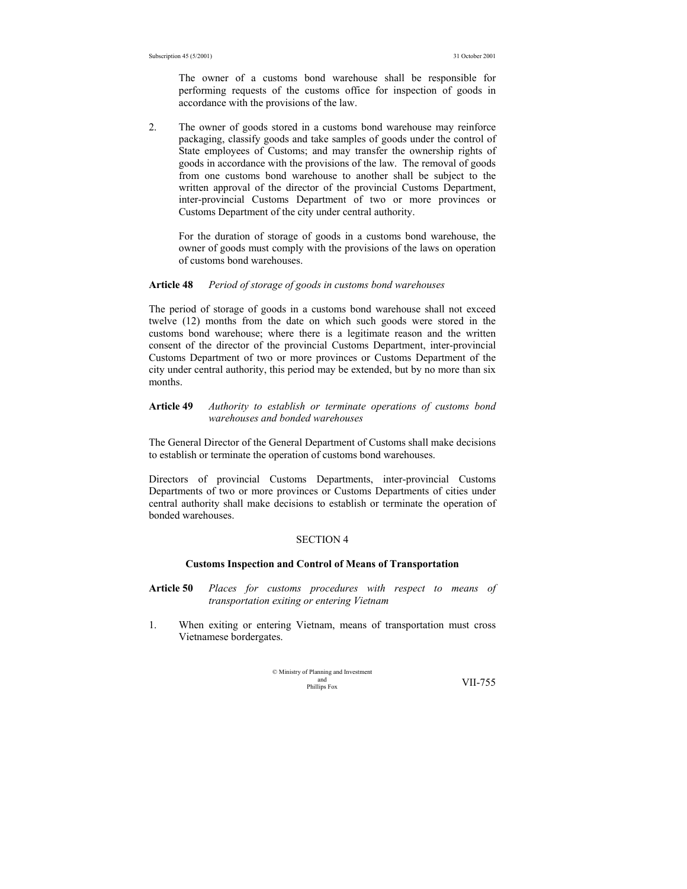The owner of a customs bond warehouse shall be responsible for performing requests of the customs office for inspection of goods in accordance with the provisions of the law.

2. The owner of goods stored in a customs bond warehouse may reinforce packaging, classify goods and take samples of goods under the control of State employees of Customs; and may transfer the ownership rights of goods in accordance with the provisions of the law. The removal of goods from one customs bond warehouse to another shall be subject to the written approval of the director of the provincial Customs Department, inter-provincial Customs Department of two or more provinces or Customs Department of the city under central authority.

 For the duration of storage of goods in a customs bond warehouse, the owner of goods must comply with the provisions of the laws on operation of customs bond warehouses.

#### **Article 48** *Period of storage of goods in customs bond warehouses*

The period of storage of goods in a customs bond warehouse shall not exceed twelve (12) months from the date on which such goods were stored in the customs bond warehouse; where there is a legitimate reason and the written consent of the director of the provincial Customs Department, inter-provincial Customs Department of two or more provinces or Customs Department of the city under central authority, this period may be extended, but by no more than six months.

#### **Article 49** *Authority to establish or terminate operations of customs bond warehouses and bonded warehouses*

The General Director of the General Department of Customs shall make decisions to establish or terminate the operation of customs bond warehouses.

Directors of provincial Customs Departments, inter-provincial Customs Departments of two or more provinces or Customs Departments of cities under central authority shall make decisions to establish or terminate the operation of bonded warehouses.

#### SECTION 4

#### **Customs Inspection and Control of Means of Transportation**

- **Article 50** *Places for customs procedures with respect to means of transportation exiting or entering Vietnam*
- 1. When exiting or entering Vietnam, means of transportation must cross Vietnamese bordergates.

| © Ministry of Planning and Investment |         |
|---------------------------------------|---------|
| and                                   | VII-755 |
| Phillips Fox                          |         |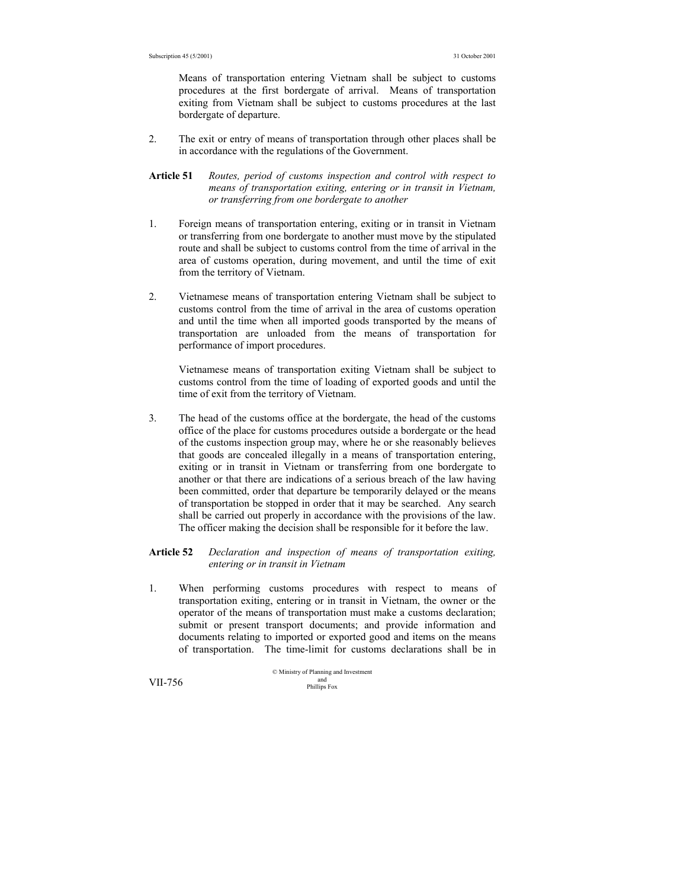Means of transportation entering Vietnam shall be subject to customs procedures at the first bordergate of arrival. Means of transportation exiting from Vietnam shall be subject to customs procedures at the last bordergate of departure.

- 2. The exit or entry of means of transportation through other places shall be in accordance with the regulations of the Government.
- **Article 51** *Routes, period of customs inspection and control with respect to means of transportation exiting, entering or in transit in Vietnam, or transferring from one bordergate to another*
- 1. Foreign means of transportation entering, exiting or in transit in Vietnam or transferring from one bordergate to another must move by the stipulated route and shall be subject to customs control from the time of arrival in the area of customs operation, during movement, and until the time of exit from the territory of Vietnam.
- 2. Vietnamese means of transportation entering Vietnam shall be subject to customs control from the time of arrival in the area of customs operation and until the time when all imported goods transported by the means of transportation are unloaded from the means of transportation for performance of import procedures.

 Vietnamese means of transportation exiting Vietnam shall be subject to customs control from the time of loading of exported goods and until the time of exit from the territory of Vietnam.

3. The head of the customs office at the bordergate, the head of the customs office of the place for customs procedures outside a bordergate or the head of the customs inspection group may, where he or she reasonably believes that goods are concealed illegally in a means of transportation entering, exiting or in transit in Vietnam or transferring from one bordergate to another or that there are indications of a serious breach of the law having been committed, order that departure be temporarily delayed or the means of transportation be stopped in order that it may be searched. Any search shall be carried out properly in accordance with the provisions of the law. The officer making the decision shall be responsible for it before the law.

#### **Article 52** *Declaration and inspection of means of transportation exiting, entering or in transit in Vietnam*

1. When performing customs procedures with respect to means of transportation exiting, entering or in transit in Vietnam, the owner or the operator of the means of transportation must make a customs declaration; submit or present transport documents; and provide information and documents relating to imported or exported good and items on the means of transportation. The time-limit for customs declarations shall be in

© Ministry of Planning and Investment **VII-756** and phillips Fox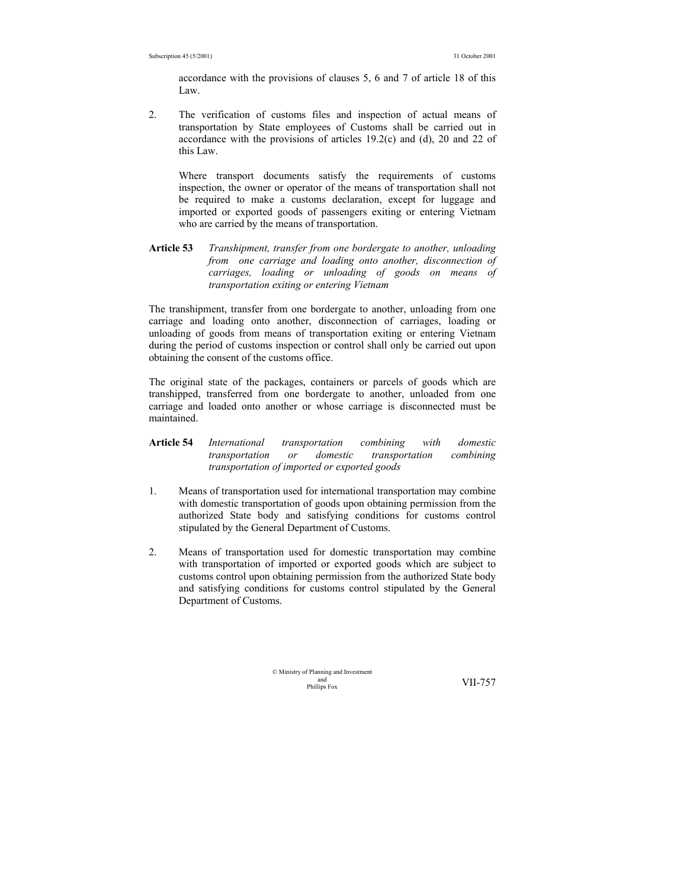accordance with the provisions of clauses 5, 6 and 7 of article 18 of this Law.

2. The verification of customs files and inspection of actual means of transportation by State employees of Customs shall be carried out in accordance with the provisions of articles 19.2(c) and (d), 20 and 22 of this Law.

 Where transport documents satisfy the requirements of customs inspection, the owner or operator of the means of transportation shall not be required to make a customs declaration, except for luggage and imported or exported goods of passengers exiting or entering Vietnam who are carried by the means of transportation.

**Article 53** *Transhipment, transfer from one bordergate to another, unloading from one carriage and loading onto another, disconnection of carriages, loading or unloading of goods on means of transportation exiting or entering Vietnam* 

The transhipment, transfer from one bordergate to another, unloading from one carriage and loading onto another, disconnection of carriages, loading or unloading of goods from means of transportation exiting or entering Vietnam during the period of customs inspection or control shall only be carried out upon obtaining the consent of the customs office.

The original state of the packages, containers or parcels of goods which are transhipped, transferred from one bordergate to another, unloaded from one carriage and loaded onto another or whose carriage is disconnected must be maintained.

- **Article 54** *International transportation combining with domestic transportation or domestic transportation combining transportation of imported or exported goods*
- 1. Means of transportation used for international transportation may combine with domestic transportation of goods upon obtaining permission from the authorized State body and satisfying conditions for customs control stipulated by the General Department of Customs.
- 2. Means of transportation used for domestic transportation may combine with transportation of imported or exported goods which are subject to customs control upon obtaining permission from the authorized State body and satisfying conditions for customs control stipulated by the General Department of Customs.

© Ministry of Planning and Investment and<br>Phillins Fox

VII-757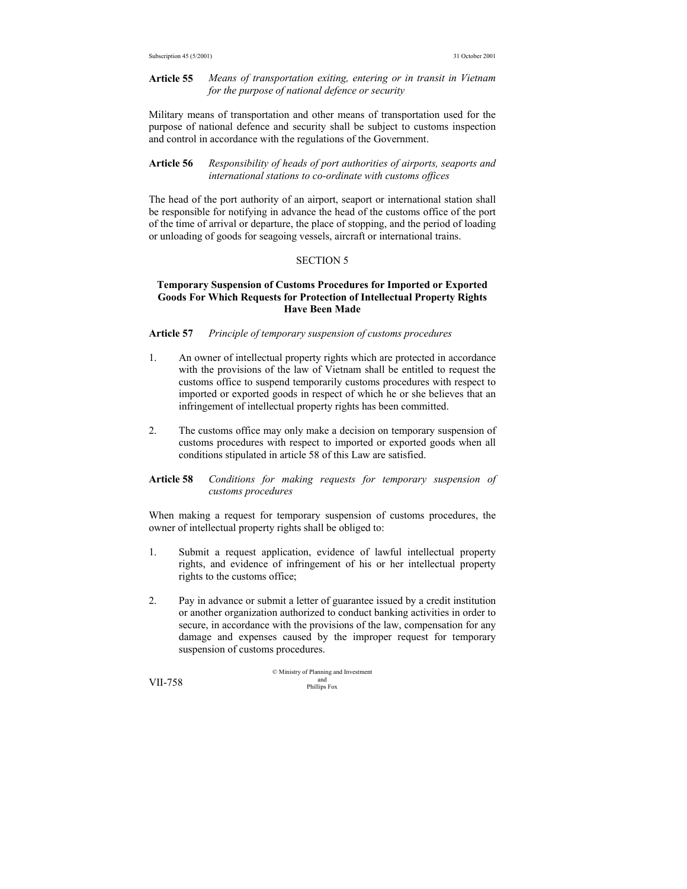#### **Article 55** *Means of transportation exiting, entering or in transit in Vietnam for the purpose of national defence or security*

Military means of transportation and other means of transportation used for the purpose of national defence and security shall be subject to customs inspection and control in accordance with the regulations of the Government.

### **Article 56** *Responsibility of heads of port authorities of airports, seaports and international stations to co-ordinate with customs offices*

The head of the port authority of an airport, seaport or international station shall be responsible for notifying in advance the head of the customs office of the port of the time of arrival or departure, the place of stopping, and the period of loading or unloading of goods for seagoing vessels, aircraft or international trains.

#### SECTION 5

#### **Temporary Suspension of Customs Procedures for Imported or Exported Goods For Which Requests for Protection of Intellectual Property Rights Have Been Made**

### **Article 57** *Principle of temporary suspension of customs procedures*

- 1. An owner of intellectual property rights which are protected in accordance with the provisions of the law of Vietnam shall be entitled to request the customs office to suspend temporarily customs procedures with respect to imported or exported goods in respect of which he or she believes that an infringement of intellectual property rights has been committed.
- 2. The customs office may only make a decision on temporary suspension of customs procedures with respect to imported or exported goods when all conditions stipulated in article 58 of this Law are satisfied.

#### **Article 58** *Conditions for making requests for temporary suspension of customs procedures*

When making a request for temporary suspension of customs procedures, the owner of intellectual property rights shall be obliged to:

- 1. Submit a request application, evidence of lawful intellectual property rights, and evidence of infringement of his or her intellectual property rights to the customs office;
- 2. Pay in advance or submit a letter of guarantee issued by a credit institution or another organization authorized to conduct banking activities in order to secure, in accordance with the provisions of the law, compensation for any damage and expenses caused by the improper request for temporary suspension of customs procedures.

© Ministry of Planning and Investment and VII-758 Phillips Fox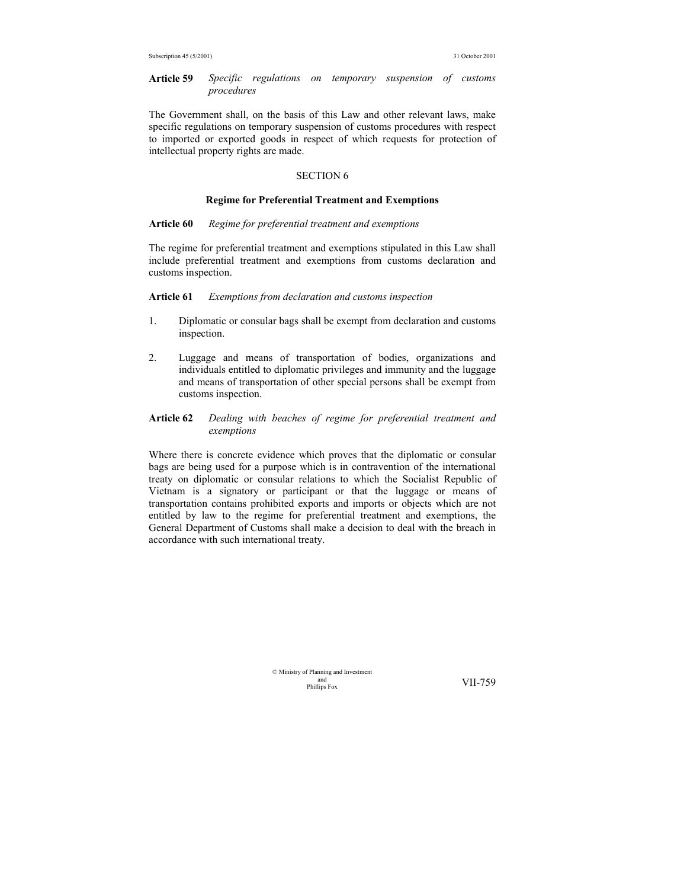**Article 59** *Specific regulations on temporary suspension of customs procedures*

The Government shall, on the basis of this Law and other relevant laws, make specific regulations on temporary suspension of customs procedures with respect to imported or exported goods in respect of which requests for protection of intellectual property rights are made.

## SECTION 6

#### **Regime for Preferential Treatment and Exemptions**

**Article 60** *Regime for preferential treatment and exemptions*

The regime for preferential treatment and exemptions stipulated in this Law shall include preferential treatment and exemptions from customs declaration and customs inspection.

**Article 61** *Exemptions from declaration and customs inspection*

- 1. Diplomatic or consular bags shall be exempt from declaration and customs inspection.
- 2. Luggage and means of transportation of bodies, organizations and individuals entitled to diplomatic privileges and immunity and the luggage and means of transportation of other special persons shall be exempt from customs inspection.
- **Article 62** *Dealing with beaches of regime for preferential treatment and exemptions*

Where there is concrete evidence which proves that the diplomatic or consular bags are being used for a purpose which is in contravention of the international treaty on diplomatic or consular relations to which the Socialist Republic of Vietnam is a signatory or participant or that the luggage or means of transportation contains prohibited exports and imports or objects which are not entitled by law to the regime for preferential treatment and exemptions, the General Department of Customs shall make a decision to deal with the breach in accordance with such international treaty.

> © Ministry of Planning and Investment and<br>Phillins Fox

VII-759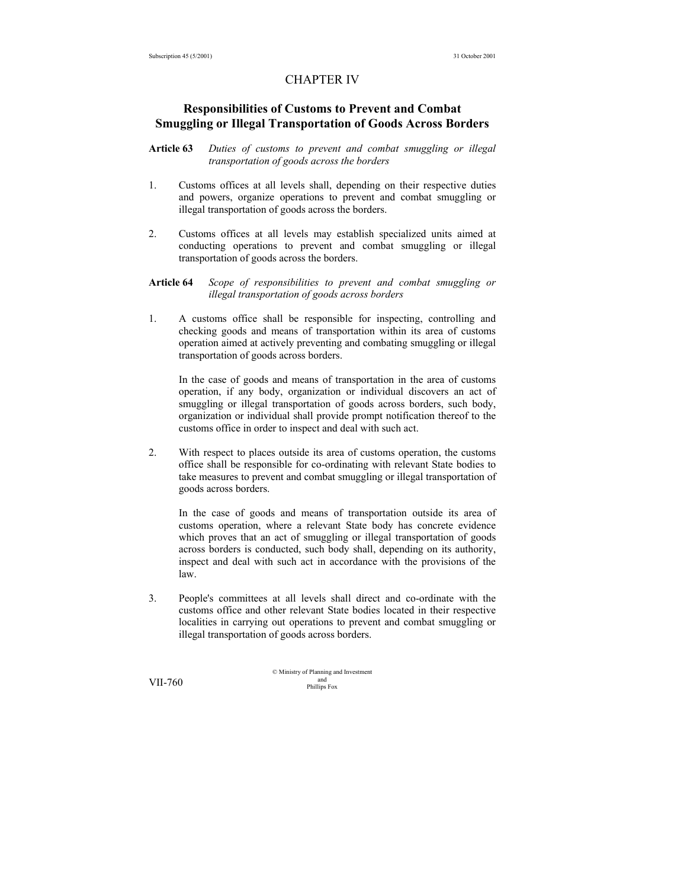## CHAPTER IV

## **Responsibilities of Customs to Prevent and Combat Smuggling or Illegal Transportation of Goods Across Borders**

#### **Article 63** *Duties of customs to prevent and combat smuggling or illegal transportation of goods across the borders*

- 1. Customs offices at all levels shall, depending on their respective duties and powers, organize operations to prevent and combat smuggling or illegal transportation of goods across the borders.
- 2. Customs offices at all levels may establish specialized units aimed at conducting operations to prevent and combat smuggling or illegal transportation of goods across the borders.
- **Article 64** *Scope of responsibilities to prevent and combat smuggling or illegal transportation of goods across borders*
- 1. A customs office shall be responsible for inspecting, controlling and checking goods and means of transportation within its area of customs operation aimed at actively preventing and combating smuggling or illegal transportation of goods across borders.

 In the case of goods and means of transportation in the area of customs operation, if any body, organization or individual discovers an act of smuggling or illegal transportation of goods across borders, such body, organization or individual shall provide prompt notification thereof to the customs office in order to inspect and deal with such act.

2. With respect to places outside its area of customs operation, the customs office shall be responsible for co-ordinating with relevant State bodies to take measures to prevent and combat smuggling or illegal transportation of goods across borders.

 In the case of goods and means of transportation outside its area of customs operation, where a relevant State body has concrete evidence which proves that an act of smuggling or illegal transportation of goods across borders is conducted, such body shall, depending on its authority, inspect and deal with such act in accordance with the provisions of the law.

3. People's committees at all levels shall direct and co-ordinate with the customs office and other relevant State bodies located in their respective localities in carrying out operations to prevent and combat smuggling or illegal transportation of goods across borders.

© Ministry of Planning and Investment and VII-760 Phillips Fox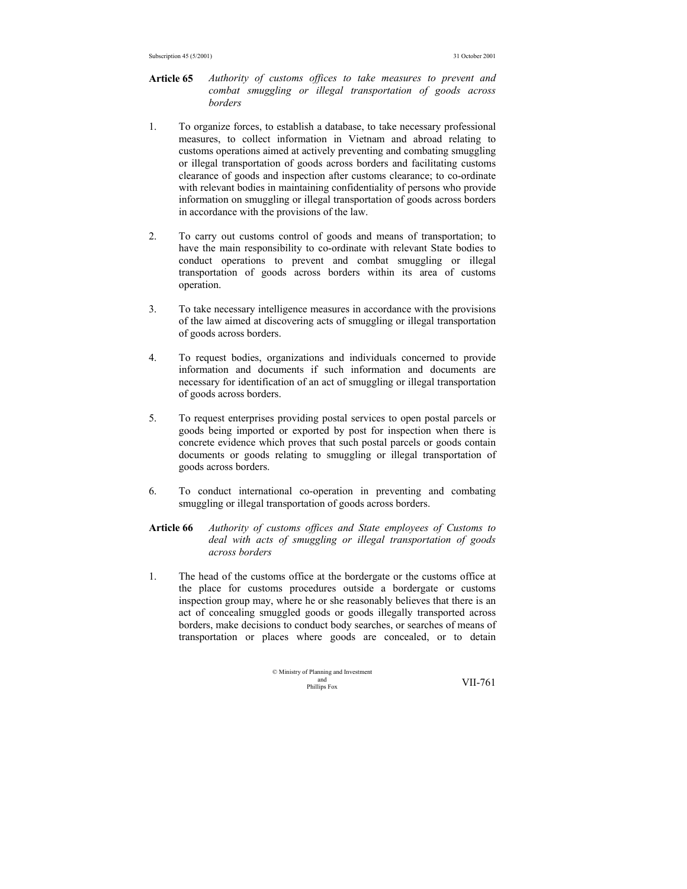- **Article 65** *Authority of customs offices to take measures to prevent and combat smuggling or illegal transportation of goods across borders*
- 1. To organize forces, to establish a database, to take necessary professional measures, to collect information in Vietnam and abroad relating to customs operations aimed at actively preventing and combating smuggling or illegal transportation of goods across borders and facilitating customs clearance of goods and inspection after customs clearance; to co-ordinate with relevant bodies in maintaining confidentiality of persons who provide information on smuggling or illegal transportation of goods across borders in accordance with the provisions of the law.
- 2. To carry out customs control of goods and means of transportation; to have the main responsibility to co-ordinate with relevant State bodies to conduct operations to prevent and combat smuggling or illegal transportation of goods across borders within its area of customs operation.
- 3. To take necessary intelligence measures in accordance with the provisions of the law aimed at discovering acts of smuggling or illegal transportation of goods across borders.
- 4. To request bodies, organizations and individuals concerned to provide information and documents if such information and documents are necessary for identification of an act of smuggling or illegal transportation of goods across borders.
- 5. To request enterprises providing postal services to open postal parcels or goods being imported or exported by post for inspection when there is concrete evidence which proves that such postal parcels or goods contain documents or goods relating to smuggling or illegal transportation of goods across borders.
- 6. To conduct international co-operation in preventing and combating smuggling or illegal transportation of goods across borders.
- **Article 66** *Authority of customs offices and State employees of Customs to deal with acts of smuggling or illegal transportation of goods across borders*
- 1. The head of the customs office at the bordergate or the customs office at the place for customs procedures outside a bordergate or customs inspection group may, where he or she reasonably believes that there is an act of concealing smuggled goods or goods illegally transported across borders, make decisions to conduct body searches, or searches of means of transportation or places where goods are concealed, or to detain

$$
\odot
$$
   
Ministry of Planning and Investment  
philips Fox  
  $VII-761$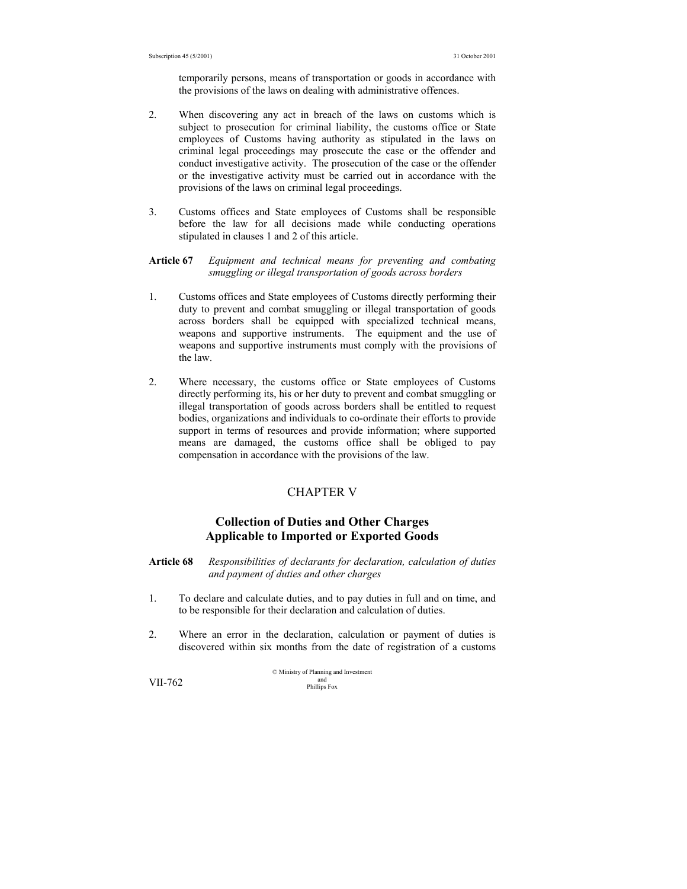temporarily persons, means of transportation or goods in accordance with the provisions of the laws on dealing with administrative offences.

- 2. When discovering any act in breach of the laws on customs which is subject to prosecution for criminal liability, the customs office or State employees of Customs having authority as stipulated in the laws on criminal legal proceedings may prosecute the case or the offender and conduct investigative activity. The prosecution of the case or the offender or the investigative activity must be carried out in accordance with the provisions of the laws on criminal legal proceedings.
- 3. Customs offices and State employees of Customs shall be responsible before the law for all decisions made while conducting operations stipulated in clauses 1 and 2 of this article.

#### **Article 67** *Equipment and technical means for preventing and combating smuggling or illegal transportation of goods across borders*

- 1. Customs offices and State employees of Customs directly performing their duty to prevent and combat smuggling or illegal transportation of goods across borders shall be equipped with specialized technical means, weapons and supportive instruments. The equipment and the use of weapons and supportive instruments must comply with the provisions of the law.
- 2. Where necessary, the customs office or State employees of Customs directly performing its, his or her duty to prevent and combat smuggling or illegal transportation of goods across borders shall be entitled to request bodies, organizations and individuals to co-ordinate their efforts to provide support in terms of resources and provide information; where supported means are damaged, the customs office shall be obliged to pay compensation in accordance with the provisions of the law.

## CHAPTER V

## **Collection of Duties and Other Charges Applicable to Imported or Exported Goods**

- **Article 68** *Responsibilities of declarants for declaration, calculation of duties and payment of duties and other charges*
- 1. To declare and calculate duties, and to pay duties in full and on time, and to be responsible for their declaration and calculation of duties.
- 2. Where an error in the declaration, calculation or payment of duties is discovered within six months from the date of registration of a customs

© Ministry of Planning and Investment and VII-762 Phillips Fox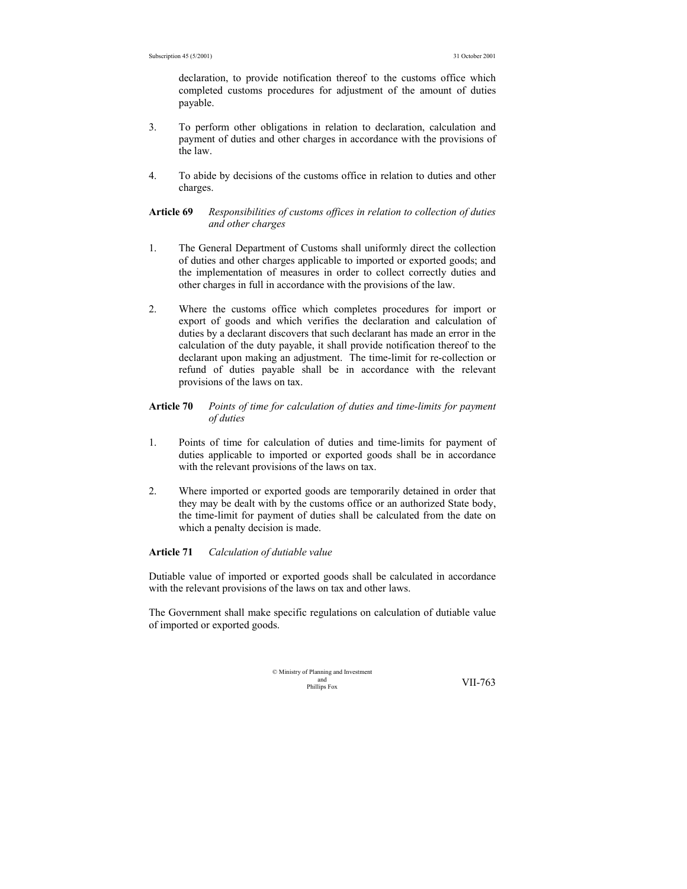declaration, to provide notification thereof to the customs office which completed customs procedures for adjustment of the amount of duties payable.

- 3. To perform other obligations in relation to declaration, calculation and payment of duties and other charges in accordance with the provisions of the law.
- 4. To abide by decisions of the customs office in relation to duties and other charges.

#### **Article 69** *Responsibilities of customs offices in relation to collection of duties and other charges*

- 1. The General Department of Customs shall uniformly direct the collection of duties and other charges applicable to imported or exported goods; and the implementation of measures in order to collect correctly duties and other charges in full in accordance with the provisions of the law.
- 2. Where the customs office which completes procedures for import or export of goods and which verifies the declaration and calculation of duties by a declarant discovers that such declarant has made an error in the calculation of the duty payable, it shall provide notification thereof to the declarant upon making an adjustment. The time-limit for re-collection or refund of duties payable shall be in accordance with the relevant provisions of the laws on tax.

## **Article 70** *Points of time for calculation of duties and time-limits for payment of duties*

- 1. Points of time for calculation of duties and time-limits for payment of duties applicable to imported or exported goods shall be in accordance with the relevant provisions of the laws on tax.
- 2. Where imported or exported goods are temporarily detained in order that they may be dealt with by the customs office or an authorized State body, the time-limit for payment of duties shall be calculated from the date on which a penalty decision is made.

#### **Article 71** *Calculation of dutiable value*

Dutiable value of imported or exported goods shall be calculated in accordance with the relevant provisions of the laws on tax and other laws.

The Government shall make specific regulations on calculation of dutiable value of imported or exported goods.

| © Ministry of Planning and Investment |         |
|---------------------------------------|---------|
| and                                   | VII-763 |
| Phillips Fox                          |         |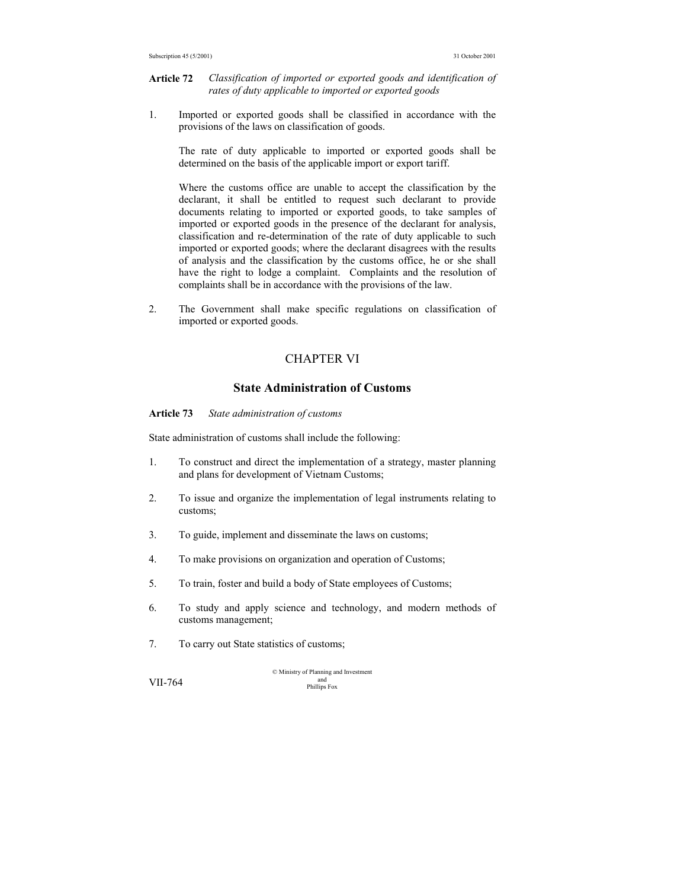**Article 72** *Classification of imported or exported goods and identification of rates of duty applicable to imported or exported goods* 

1. Imported or exported goods shall be classified in accordance with the provisions of the laws on classification of goods.

 The rate of duty applicable to imported or exported goods shall be determined on the basis of the applicable import or export tariff.

 Where the customs office are unable to accept the classification by the declarant, it shall be entitled to request such declarant to provide documents relating to imported or exported goods, to take samples of imported or exported goods in the presence of the declarant for analysis, classification and re-determination of the rate of duty applicable to such imported or exported goods; where the declarant disagrees with the results of analysis and the classification by the customs office, he or she shall have the right to lodge a complaint. Complaints and the resolution of complaints shall be in accordance with the provisions of the law.

2. The Government shall make specific regulations on classification of imported or exported goods.

## CHAPTER VI

## **State Administration of Customs**

**Article 73** *State administration of customs* 

State administration of customs shall include the following:

- 1. To construct and direct the implementation of a strategy, master planning and plans for development of Vietnam Customs;
- 2. To issue and organize the implementation of legal instruments relating to customs;
- 3. To guide, implement and disseminate the laws on customs;
- 4. To make provisions on organization and operation of Customs;
- 5. To train, foster and build a body of State employees of Customs;
- 6. To study and apply science and technology, and modern methods of customs management;
- 7. To carry out State statistics of customs;

© Ministry of Planning and Investment and VII-764 Phillips Fox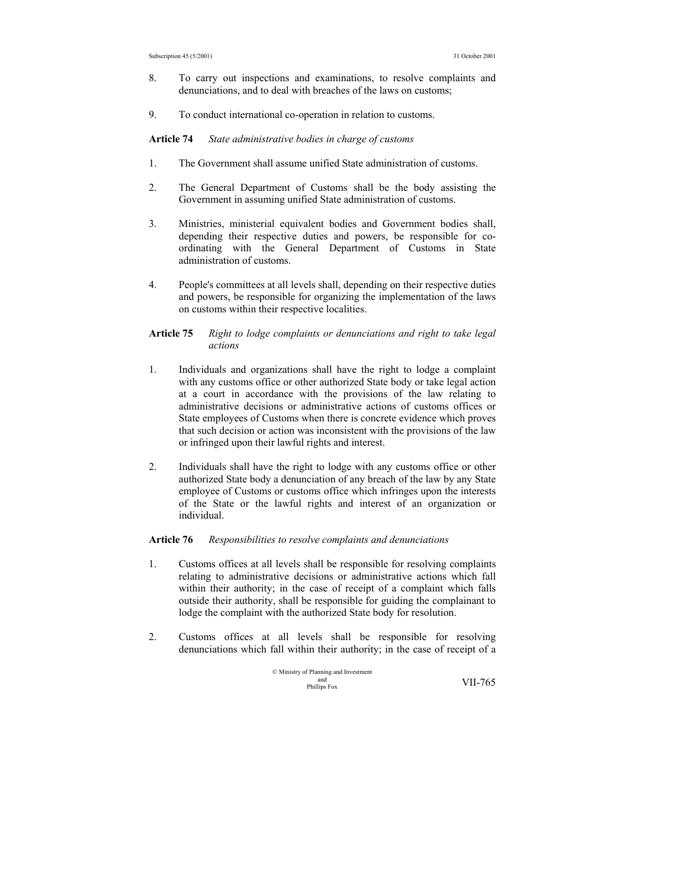- 8. To carry out inspections and examinations, to resolve complaints and denunciations, and to deal with breaches of the laws on customs;
- 9. To conduct international co-operation in relation to customs.

**Article 74** *State administrative bodies in charge of customs* 

- 1. The Government shall assume unified State administration of customs.
- 2. The General Department of Customs shall be the body assisting the Government in assuming unified State administration of customs.
- 3. Ministries, ministerial equivalent bodies and Government bodies shall, depending their respective duties and powers, be responsible for coordinating with the General Department of Customs in State administration of customs.
- 4. People's committees at all levels shall, depending on their respective duties and powers, be responsible for organizing the implementation of the laws on customs within their respective localities.

#### **Article 75** *Right to lodge complaints or denunciations and right to take legal actions*

- 1. Individuals and organizations shall have the right to lodge a complaint with any customs office or other authorized State body or take legal action at a court in accordance with the provisions of the law relating to administrative decisions or administrative actions of customs offices or State employees of Customs when there is concrete evidence which proves that such decision or action was inconsistent with the provisions of the law or infringed upon their lawful rights and interest.
- 2. Individuals shall have the right to lodge with any customs office or other authorized State body a denunciation of any breach of the law by any State employee of Customs or customs office which infringes upon the interests of the State or the lawful rights and interest of an organization or individual.

#### **Article 76** *Responsibilities to resolve complaints and denunciations*

- 1. Customs offices at all levels shall be responsible for resolving complaints relating to administrative decisions or administrative actions which fall within their authority; in the case of receipt of a complaint which falls outside their authority, shall be responsible for guiding the complainant to lodge the complaint with the authorized State body for resolution.
- 2. Customs offices at all levels shall be responsible for resolving denunciations which fall within their authority; in the case of receipt of a

© Ministry of Planning and Investment and Phillips Fox VII-765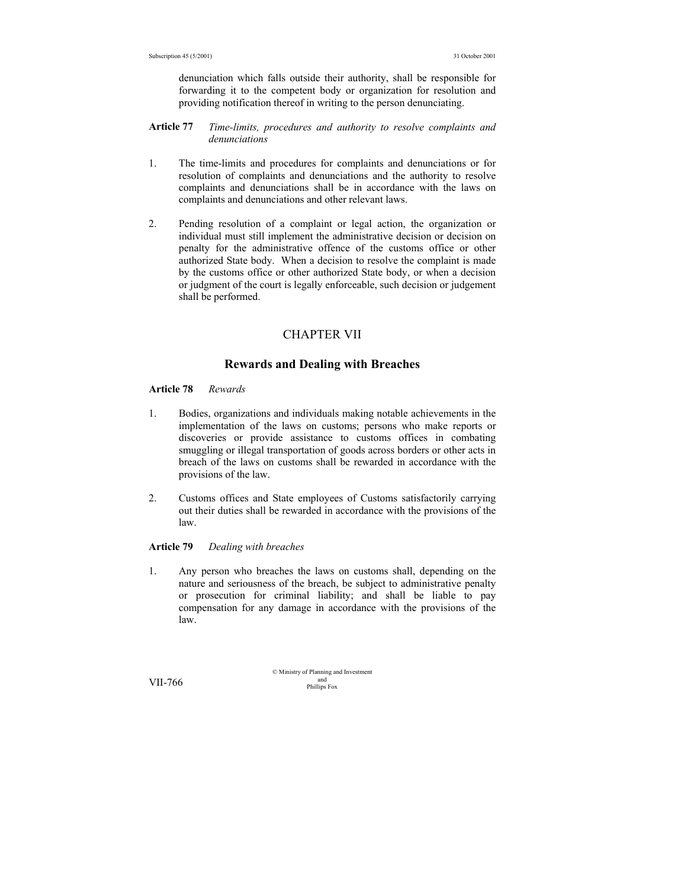denunciation which falls outside their authority, shall be responsible for forwarding it to the competent body or organization for resolution and providing notification thereof in writing to the person denunciating.

- **Article 77** *Time-limits, procedures and authority to resolve complaints and denunciations*
- 1. The time-limits and procedures for complaints and denunciations or for resolution of complaints and denunciations and the authority to resolve complaints and denunciations shall be in accordance with the laws on complaints and denunciations and other relevant laws.
- 2. Pending resolution of a complaint or legal action, the organization or individual must still implement the administrative decision or decision on penalty for the administrative offence of the customs office or other authorized State body. When a decision to resolve the complaint is made by the customs office or other authorized State body, or when a decision or judgment of the court is legally enforceable, such decision or judgement shall be performed.

## CHAPTER VII

## **Rewards and Dealing with Breaches**

## **Article 78** *Rewards*

- 1. Bodies, organizations and individuals making notable achievements in the implementation of the laws on customs; persons who make reports or discoveries or provide assistance to customs offices in combating smuggling or illegal transportation of goods across borders or other acts in breach of the laws on customs shall be rewarded in accordance with the provisions of the law.
- 2. Customs offices and State employees of Customs satisfactorily carrying out their duties shall be rewarded in accordance with the provisions of the law.

## **Article 79** *Dealing with breaches*

1. Any person who breaches the laws on customs shall, depending on the nature and seriousness of the breach, be subject to administrative penalty or prosecution for criminal liability; and shall be liable to pay compensation for any damage in accordance with the provisions of the law.

© Ministry of Planning and Investment and VII-766 Phillips Fox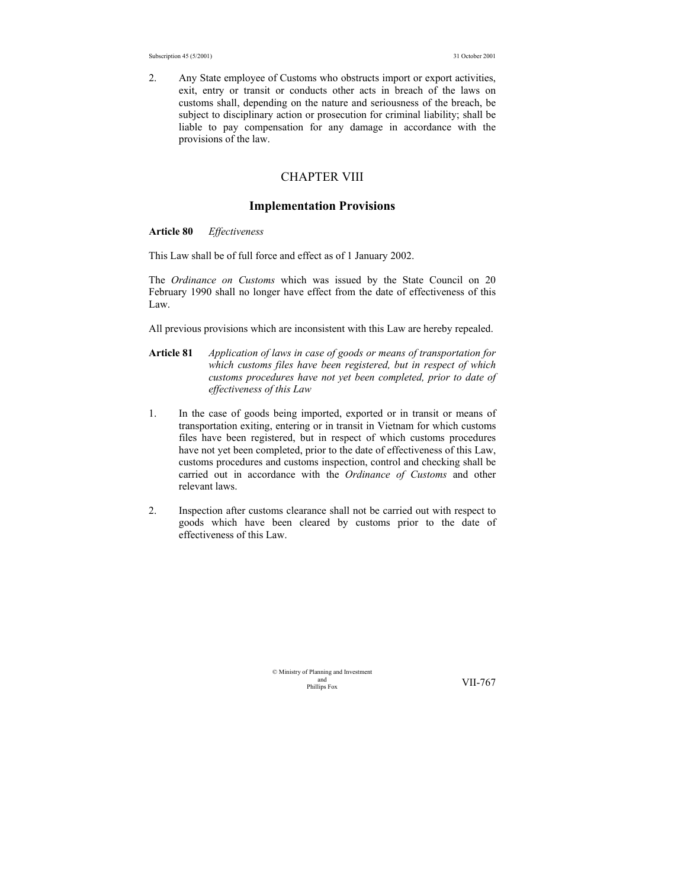2. Any State employee of Customs who obstructs import or export activities, exit, entry or transit or conducts other acts in breach of the laws on customs shall, depending on the nature and seriousness of the breach, be subject to disciplinary action or prosecution for criminal liability; shall be liable to pay compensation for any damage in accordance with the provisions of the law.

## CHAPTER VIII

#### **Implementation Provisions**

#### **Article 80** *Effectiveness*

This Law shall be of full force and effect as of 1 January 2002.

The *Ordinance on Customs* which was issued by the State Council on 20 February 1990 shall no longer have effect from the date of effectiveness of this Law.

All previous provisions which are inconsistent with this Law are hereby repealed.

- **Article 81** *Application of laws in case of goods or means of transportation for which customs files have been registered, but in respect of which customs procedures have not yet been completed, prior to date of effectiveness of this Law*
- 1. In the case of goods being imported, exported or in transit or means of transportation exiting, entering or in transit in Vietnam for which customs files have been registered, but in respect of which customs procedures have not yet been completed, prior to the date of effectiveness of this Law, customs procedures and customs inspection, control and checking shall be carried out in accordance with the *Ordinance of Customs* and other relevant laws.
- 2. Inspection after customs clearance shall not be carried out with respect to goods which have been cleared by customs prior to the date of effectiveness of this Law.

© Ministry of Planning and Investment and<br>Phillins Fox

VII-767